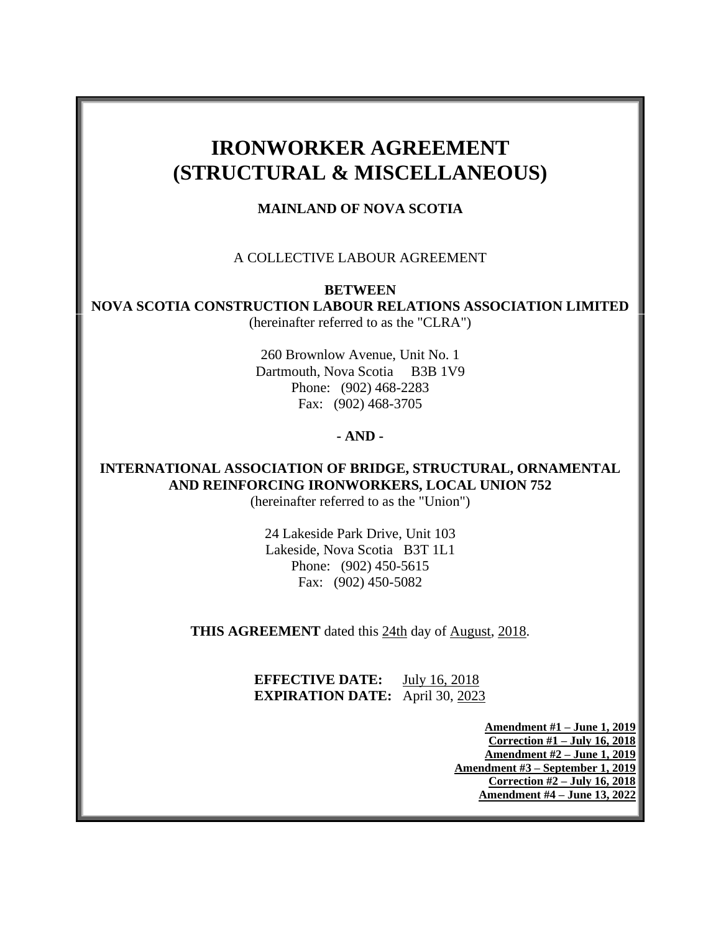# **IRONWORKER AGREEMENT (STRUCTURAL & MISCELLANEOUS)**

**MAINLAND OF NOVA SCOTIA**

#### A COLLECTIVE LABOUR AGREEMENT

**BETWEEN**

**NOVA SCOTIA CONSTRUCTION LABOUR RELATIONS ASSOCIATION LIMITED** (hereinafter referred to as the "CLRA")

> 260 Brownlow Avenue, Unit No. 1 Dartmouth, Nova Scotia B3B 1V9 Phone: (902) 468-2283 Fax: (902) 468-3705

#### **- AND -**

# **INTERNATIONAL ASSOCIATION OF BRIDGE, STRUCTURAL, ORNAMENTAL AND REINFORCING IRONWORKERS, LOCAL UNION 752**

(hereinafter referred to as the "Union")

24 Lakeside Park Drive, Unit 103 Lakeside, Nova Scotia B3T 1L1 Phone: (902) 450-5615 Fax: (902) 450-5082

**THIS AGREEMENT** dated this 24th day of August, 2018.

**EFFECTIVE DATE:** July 16, 2018 **EXPIRATION DATE:** April 30, 2023

> **Amendment #1 – June 1, 2019 Correction #1 – July 16, 2018 Amendment #2 – June 1, 2019 Amendment #3 – September 1, 2019 Correction #2 – July 16, 2018 Amendment #4 – June 13, 2022**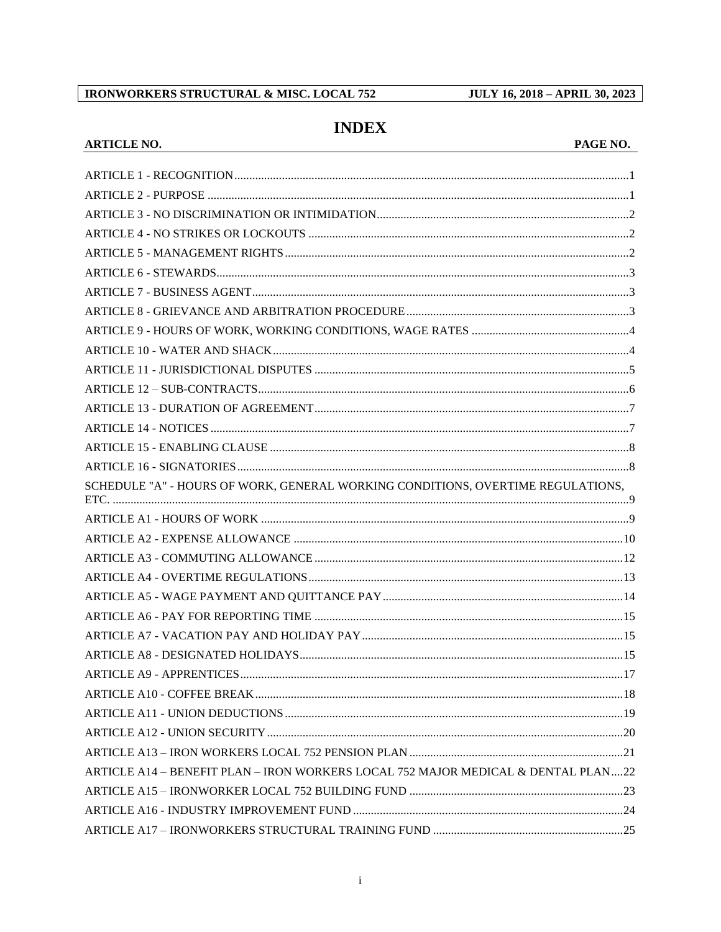## IRONWORKERS STRUCTURAL & MISC. LOCAL 752

**ARTICLE NO.** 

**JULY 16, 2018 - APRIL 30, 2023** 

# **INDEX**

#### PAGE NO.

| SCHEDULE "A" - HOURS OF WORK, GENERAL WORKING CONDITIONS, OVERTIME REGULATIONS,   |  |
|-----------------------------------------------------------------------------------|--|
|                                                                                   |  |
|                                                                                   |  |
|                                                                                   |  |
|                                                                                   |  |
|                                                                                   |  |
|                                                                                   |  |
|                                                                                   |  |
|                                                                                   |  |
|                                                                                   |  |
|                                                                                   |  |
|                                                                                   |  |
|                                                                                   |  |
|                                                                                   |  |
| ARTICLE A14 - BENEFIT PLAN - IRON WORKERS LOCAL 752 MAJOR MEDICAL & DENTAL PLAN22 |  |
|                                                                                   |  |
|                                                                                   |  |
|                                                                                   |  |
|                                                                                   |  |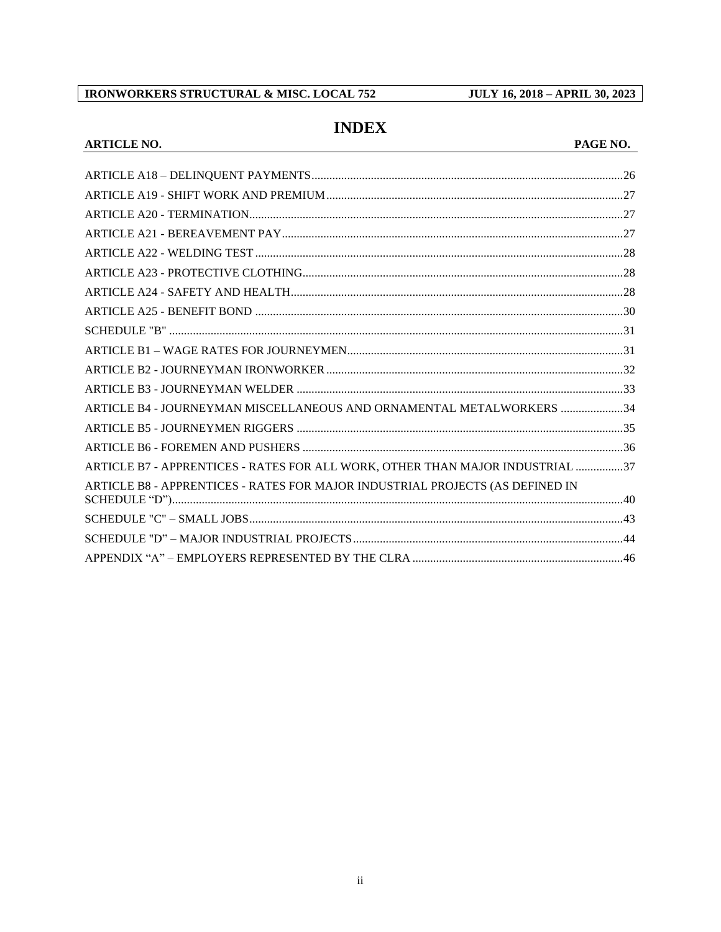## IRONWORKERS STRUCTURAL & MISC. LOCAL 752

**ARTICLE NO.** 

**JULY 16, 2018 - APRIL 30, 2023** 

# **INDEX**

#### PAGE NO.

| ARTICLE B4 - JOURNEYMAN MISCELLANEOUS AND ORNAMENTAL METALWORKERS 34          |  |
|-------------------------------------------------------------------------------|--|
|                                                                               |  |
|                                                                               |  |
| ARTICLE B7 - APPRENTICES - RATES FOR ALL WORK, OTHER THAN MAJOR INDUSTRIAL 37 |  |
| ARTICLE B8 - APPRENTICES - RATES FOR MAJOR INDUSTRIAL PROJECTS (AS DEFINED IN |  |
|                                                                               |  |
|                                                                               |  |
|                                                                               |  |
|                                                                               |  |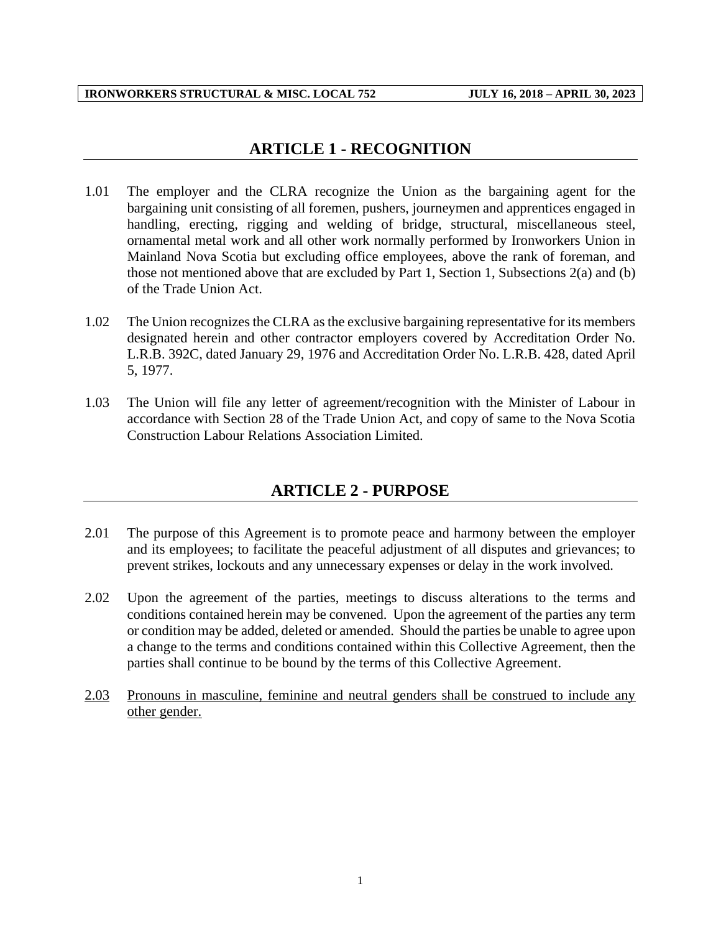# **ARTICLE 1 - RECOGNITION**

- <span id="page-3-0"></span>1.01 The employer and the CLRA recognize the Union as the bargaining agent for the bargaining unit consisting of all foremen, pushers, journeymen and apprentices engaged in handling, erecting, rigging and welding of bridge, structural, miscellaneous steel, ornamental metal work and all other work normally performed by Ironworkers Union in Mainland Nova Scotia but excluding office employees, above the rank of foreman, and those not mentioned above that are excluded by Part 1, Section 1, Subsections 2(a) and (b) of the Trade Union Act.
- 1.02 The Union recognizes the CLRA as the exclusive bargaining representative for its members designated herein and other contractor employers covered by Accreditation Order No. L.R.B. 392C, dated January 29, 1976 and Accreditation Order No. L.R.B. 428, dated April 5, 1977.
- <span id="page-3-1"></span>1.03 The Union will file any letter of agreement/recognition with the Minister of Labour in accordance with Section 28 of the Trade Union Act, and copy of same to the Nova Scotia Construction Labour Relations Association Limited.

# **ARTICLE 2 - PURPOSE**

- 2.01 The purpose of this Agreement is to promote peace and harmony between the employer and its employees; to facilitate the peaceful adjustment of all disputes and grievances; to prevent strikes, lockouts and any unnecessary expenses or delay in the work involved.
- 2.02 Upon the agreement of the parties, meetings to discuss alterations to the terms and conditions contained herein may be convened. Upon the agreement of the parties any term or condition may be added, deleted or amended. Should the parties be unable to agree upon a change to the terms and conditions contained within this Collective Agreement, then the parties shall continue to be bound by the terms of this Collective Agreement.
- 2.03 Pronouns in masculine, feminine and neutral genders shall be construed to include any other gender.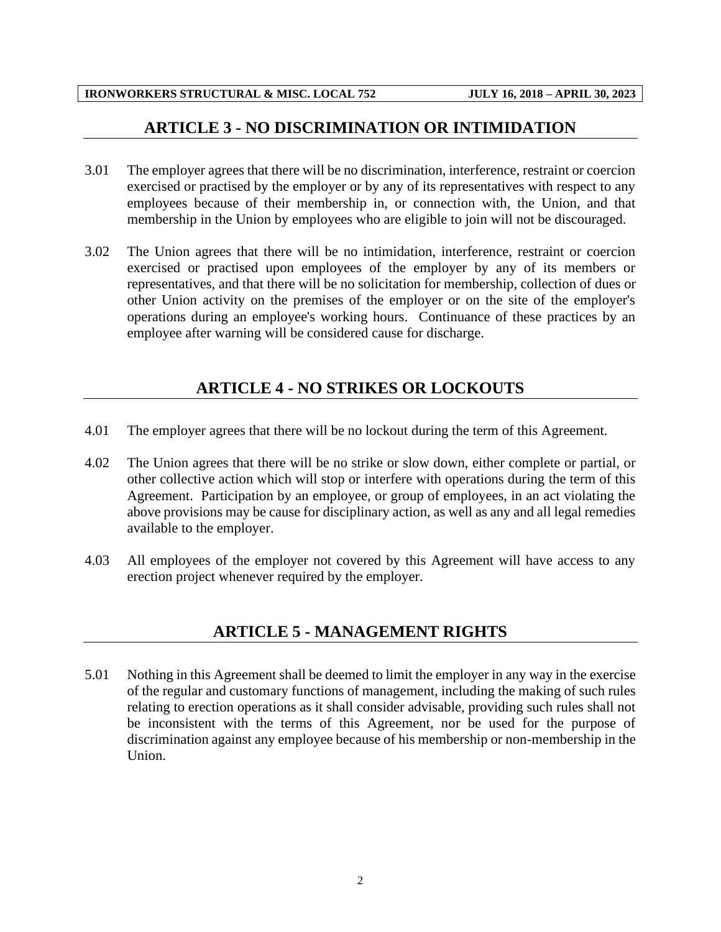## **ARTICLE 3 - NO DISCRIMINATION OR INTIMIDATION**

- <span id="page-4-0"></span>3.01 The employer agrees that there will be no discrimination, interference, restraint or coercion exercised or practised by the employer or by any of its representatives with respect to any employees because of their membership in, or connection with, the Union, and that membership in the Union by employees who are eligible to join will not be discouraged.
- 3.02 The Union agrees that there will be no intimidation, interference, restraint or coercion exercised or practised upon employees of the employer by any of its members or representatives, and that there will be no solicitation for membership, collection of dues or other Union activity on the premises of the employer or on the site of the employer's operations during an employee's working hours. Continuance of these practices by an employee after warning will be considered cause for discharge.

## **ARTICLE 4 - NO STRIKES OR LOCKOUTS**

- <span id="page-4-1"></span>4.01 The employer agrees that there will be no lockout during the term of this Agreement.
- 4.02 The Union agrees that there will be no strike or slow down, either complete or partial, or other collective action which will stop or interfere with operations during the term of this Agreement. Participation by an employee, or group of employees, in an act violating the above provisions may be cause for disciplinary action, as well as any and all legal remedies available to the employer.
- <span id="page-4-2"></span>4.03 All employees of the employer not covered by this Agreement will have access to any erection project whenever required by the employer.

# **ARTICLE 5 - MANAGEMENT RIGHTS**

5.01 Nothing in this Agreement shall be deemed to limit the employer in any way in the exercise of the regular and customary functions of management, including the making of such rules relating to erection operations as it shall consider advisable, providing such rules shall not be inconsistent with the terms of this Agreement, nor be used for the purpose of discrimination against any employee because of his membership or non-membership in the Union.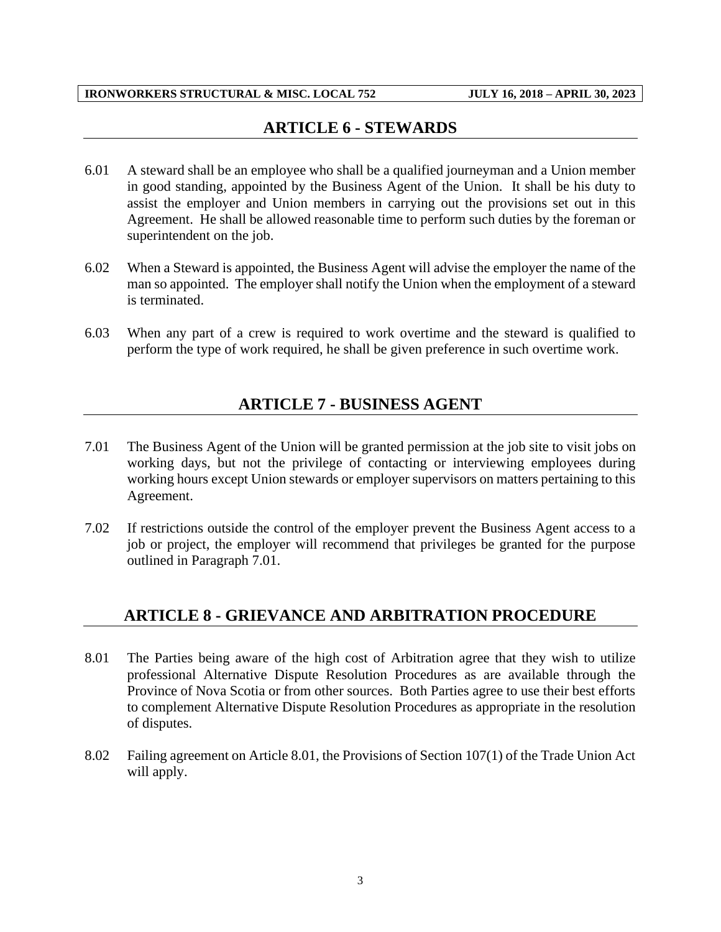# **ARTICLE 6 - STEWARDS**

- <span id="page-5-0"></span>6.01 A steward shall be an employee who shall be a qualified journeyman and a Union member in good standing, appointed by the Business Agent of the Union. It shall be his duty to assist the employer and Union members in carrying out the provisions set out in this Agreement. He shall be allowed reasonable time to perform such duties by the foreman or superintendent on the job.
- 6.02 When a Steward is appointed, the Business Agent will advise the employer the name of the man so appointed. The employer shall notify the Union when the employment of a steward is terminated.
- <span id="page-5-1"></span>6.03 When any part of a crew is required to work overtime and the steward is qualified to perform the type of work required, he shall be given preference in such overtime work.

# **ARTICLE 7 - BUSINESS AGENT**

- 7.01 The Business Agent of the Union will be granted permission at the job site to visit jobs on working days, but not the privilege of contacting or interviewing employees during working hours except Union stewards or employer supervisors on matters pertaining to this Agreement.
- 7.02 If restrictions outside the control of the employer prevent the Business Agent access to a job or project, the employer will recommend that privileges be granted for the purpose outlined in Paragraph 7.01.

# <span id="page-5-2"></span>**ARTICLE 8 - GRIEVANCE AND ARBITRATION PROCEDURE**

- 8.01 The Parties being aware of the high cost of Arbitration agree that they wish to utilize professional Alternative Dispute Resolution Procedures as are available through the Province of Nova Scotia or from other sources. Both Parties agree to use their best efforts to complement Alternative Dispute Resolution Procedures as appropriate in the resolution of disputes.
- 8.02 Failing agreement on Article 8.01, the Provisions of Section 107(1) of the Trade Union Act will apply.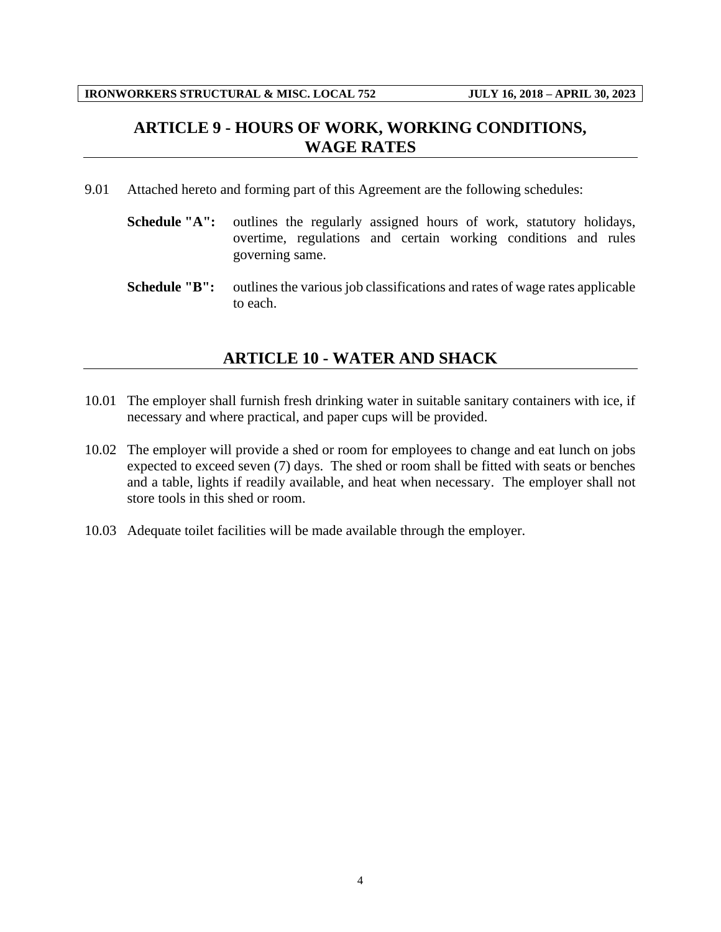# <span id="page-6-0"></span>**ARTICLE 9 - HOURS OF WORK, WORKING CONDITIONS, WAGE RATES**

- 9.01 Attached hereto and forming part of this Agreement are the following schedules:
	- **Schedule "A":** outlines the regularly assigned hours of work, statutory holidays, overtime, regulations and certain working conditions and rules governing same.
	- **Schedule "B":** outlines the various job classifications and rates of wage rates applicable to each.

# **ARTICLE 10 - WATER AND SHACK**

- <span id="page-6-1"></span>10.01 The employer shall furnish fresh drinking water in suitable sanitary containers with ice, if necessary and where practical, and paper cups will be provided.
- 10.02 The employer will provide a shed or room for employees to change and eat lunch on jobs expected to exceed seven (7) days. The shed or room shall be fitted with seats or benches and a table, lights if readily available, and heat when necessary. The employer shall not store tools in this shed or room.
- 10.03 Adequate toilet facilities will be made available through the employer.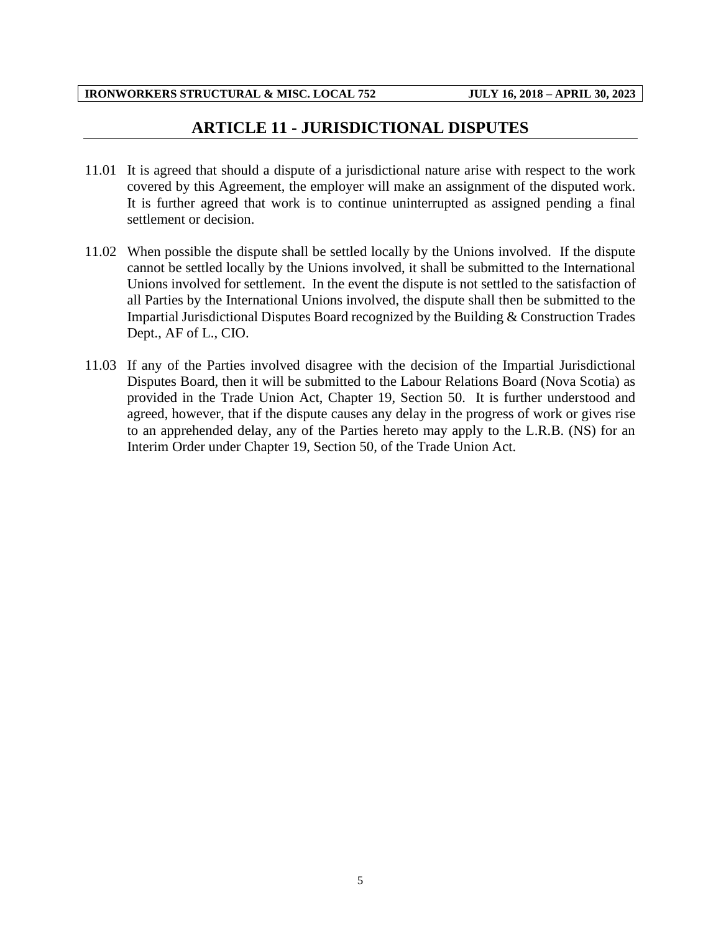## **ARTICLE 11 - JURISDICTIONAL DISPUTES**

- <span id="page-7-0"></span>11.01 It is agreed that should a dispute of a jurisdictional nature arise with respect to the work covered by this Agreement, the employer will make an assignment of the disputed work. It is further agreed that work is to continue uninterrupted as assigned pending a final settlement or decision.
- 11.02 When possible the dispute shall be settled locally by the Unions involved. If the dispute cannot be settled locally by the Unions involved, it shall be submitted to the International Unions involved for settlement. In the event the dispute is not settled to the satisfaction of all Parties by the International Unions involved, the dispute shall then be submitted to the Impartial Jurisdictional Disputes Board recognized by the Building & Construction Trades Dept., AF of L., CIO.
- 11.03 If any of the Parties involved disagree with the decision of the Impartial Jurisdictional Disputes Board, then it will be submitted to the Labour Relations Board (Nova Scotia) as provided in the Trade Union Act, Chapter 19, Section 50. It is further understood and agreed, however, that if the dispute causes any delay in the progress of work or gives rise to an apprehended delay, any of the Parties hereto may apply to the L.R.B. (NS) for an Interim Order under Chapter 19, Section 50, of the Trade Union Act.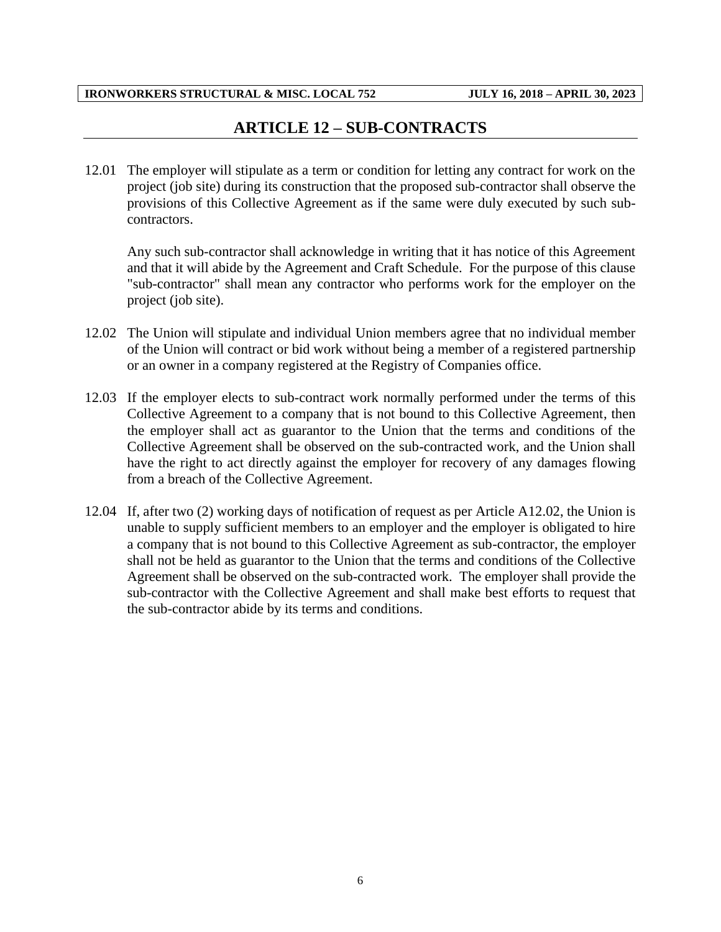# **ARTICLE 12 – SUB-CONTRACTS**

<span id="page-8-0"></span>12.01 The employer will stipulate as a term or condition for letting any contract for work on the project (job site) during its construction that the proposed sub-contractor shall observe the provisions of this Collective Agreement as if the same were duly executed by such subcontractors.

Any such sub-contractor shall acknowledge in writing that it has notice of this Agreement and that it will abide by the Agreement and Craft Schedule. For the purpose of this clause "sub-contractor" shall mean any contractor who performs work for the employer on the project (job site).

- 12.02 The Union will stipulate and individual Union members agree that no individual member of the Union will contract or bid work without being a member of a registered partnership or an owner in a company registered at the Registry of Companies office.
- 12.03 If the employer elects to sub-contract work normally performed under the terms of this Collective Agreement to a company that is not bound to this Collective Agreement, then the employer shall act as guarantor to the Union that the terms and conditions of the Collective Agreement shall be observed on the sub-contracted work, and the Union shall have the right to act directly against the employer for recovery of any damages flowing from a breach of the Collective Agreement.
- 12.04 If, after two (2) working days of notification of request as per Article A12.02, the Union is unable to supply sufficient members to an employer and the employer is obligated to hire a company that is not bound to this Collective Agreement as sub-contractor, the employer shall not be held as guarantor to the Union that the terms and conditions of the Collective Agreement shall be observed on the sub-contracted work. The employer shall provide the sub-contractor with the Collective Agreement and shall make best efforts to request that the sub-contractor abide by its terms and conditions.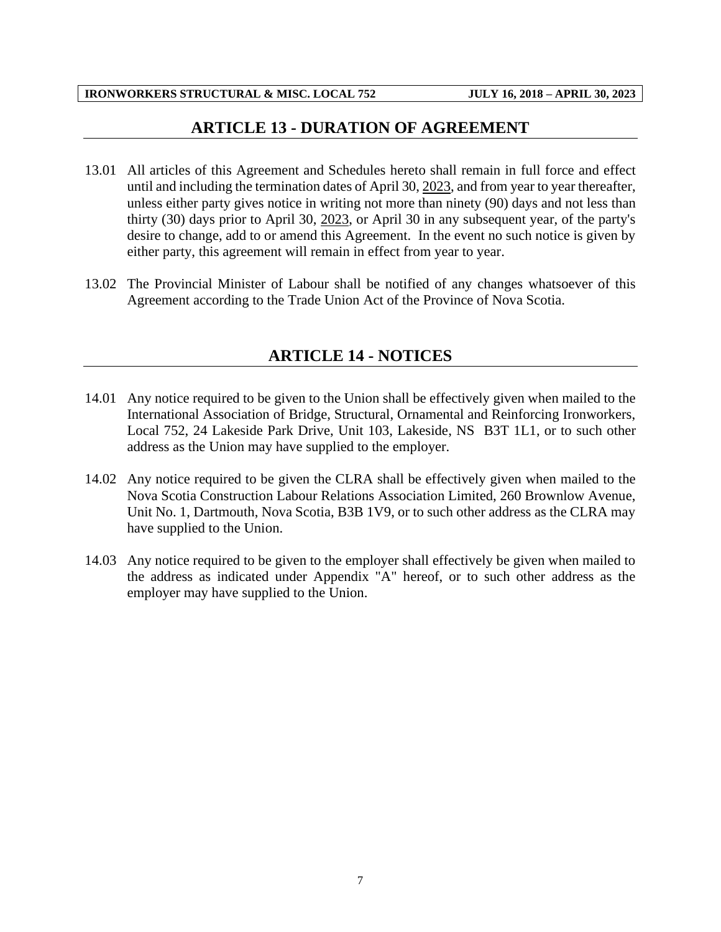## **ARTICLE 13 - DURATION OF AGREEMENT**

- <span id="page-9-0"></span>13.01 All articles of this Agreement and Schedules hereto shall remain in full force and effect until and including the termination dates of April 30, 2023, and from year to year thereafter, unless either party gives notice in writing not more than ninety (90) days and not less than thirty (30) days prior to April 30, 2023, or April 30 in any subsequent year, of the party's desire to change, add to or amend this Agreement. In the event no such notice is given by either party, this agreement will remain in effect from year to year.
- <span id="page-9-1"></span>13.02 The Provincial Minister of Labour shall be notified of any changes whatsoever of this Agreement according to the Trade Union Act of the Province of Nova Scotia.

## **ARTICLE 14 - NOTICES**

- 14.01 Any notice required to be given to the Union shall be effectively given when mailed to the International Association of Bridge, Structural, Ornamental and Reinforcing Ironworkers, Local 752, 24 Lakeside Park Drive, Unit 103, Lakeside, NS B3T 1L1, or to such other address as the Union may have supplied to the employer.
- 14.02 Any notice required to be given the CLRA shall be effectively given when mailed to the Nova Scotia Construction Labour Relations Association Limited, 260 Brownlow Avenue, Unit No. 1, Dartmouth, Nova Scotia, B3B 1V9, or to such other address as the CLRA may have supplied to the Union.
- 14.03 Any notice required to be given to the employer shall effectively be given when mailed to the address as indicated under Appendix "A" hereof, or to such other address as the employer may have supplied to the Union.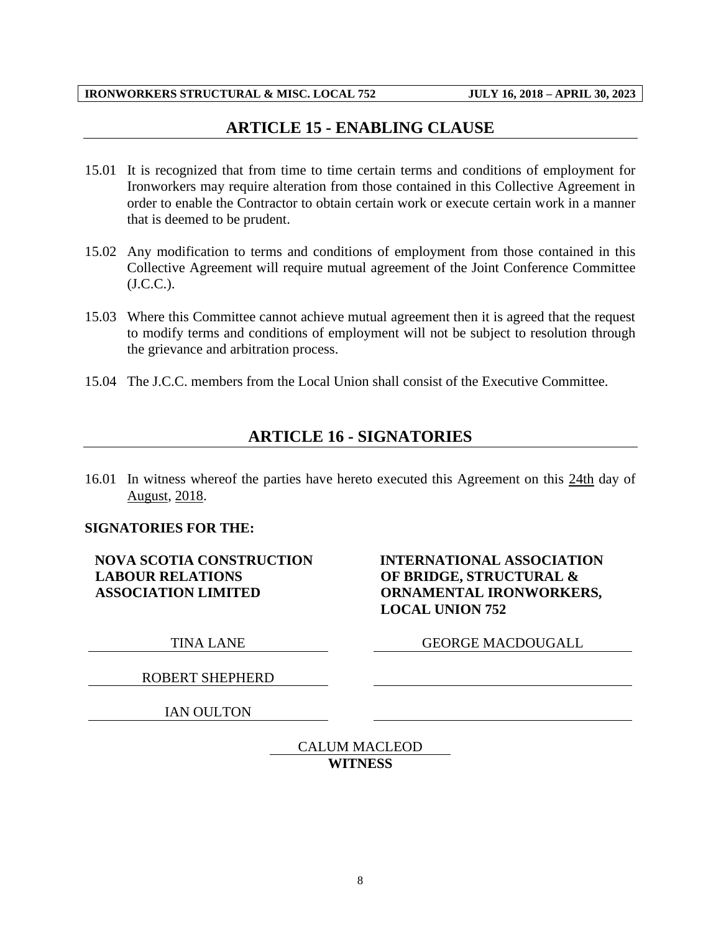## **ARTICLE 15 - ENABLING CLAUSE**

- <span id="page-10-0"></span>15.01 It is recognized that from time to time certain terms and conditions of employment for Ironworkers may require alteration from those contained in this Collective Agreement in order to enable the Contractor to obtain certain work or execute certain work in a manner that is deemed to be prudent.
- 15.02 Any modification to terms and conditions of employment from those contained in this Collective Agreement will require mutual agreement of the Joint Conference Committee (J.C.C.).
- 15.03 Where this Committee cannot achieve mutual agreement then it is agreed that the request to modify terms and conditions of employment will not be subject to resolution through the grievance and arbitration process.
- <span id="page-10-1"></span>15.04 The J.C.C. members from the Local Union shall consist of the Executive Committee.

## **ARTICLE 16 - SIGNATORIES**

16.01 In witness whereof the parties have hereto executed this Agreement on this 24th day of August, 2018.

#### **SIGNATORIES FOR THE:**

**NOVA SCOTIA CONSTRUCTION LABOUR RELATIONS ASSOCIATION LIMITED**

**INTERNATIONAL ASSOCIATION OF BRIDGE, STRUCTURAL & ORNAMENTAL IRONWORKERS, LOCAL UNION 752**

ROBERT SHEPHERD

IAN OULTON

CALUM MACLEOD **WITNESS**

TINA LANE GEORGE MACDOUGALL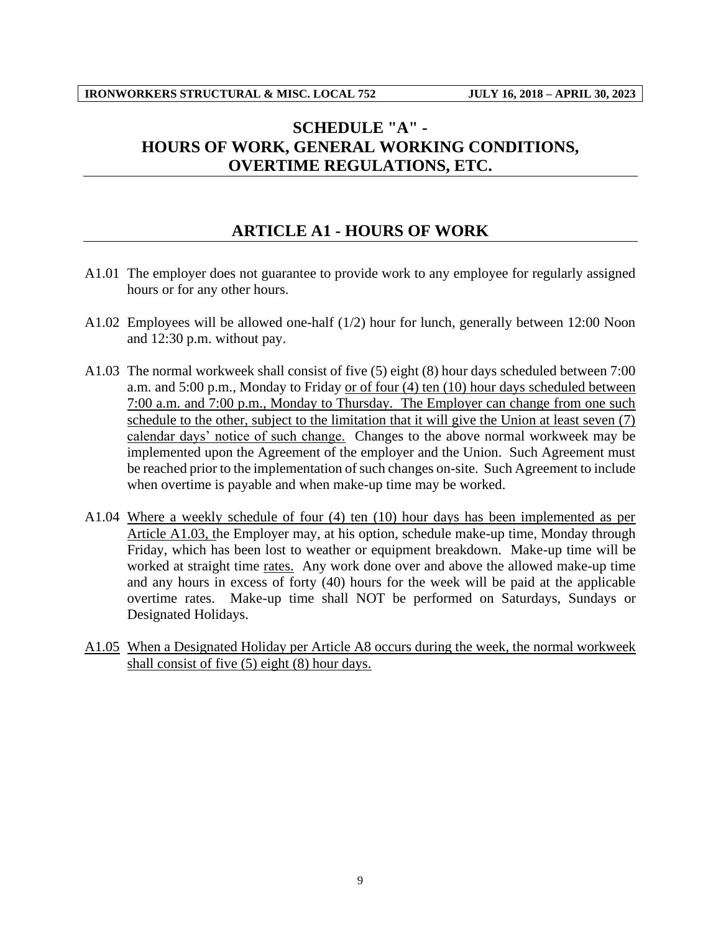# <span id="page-11-0"></span>**SCHEDULE "A" - HOURS OF WORK, GENERAL WORKING CONDITIONS, OVERTIME REGULATIONS, ETC.**

## **ARTICLE A1 - HOURS OF WORK**

- <span id="page-11-1"></span>A1.01 The employer does not guarantee to provide work to any employee for regularly assigned hours or for any other hours.
- A1.02 Employees will be allowed one-half (1/2) hour for lunch, generally between 12:00 Noon and 12:30 p.m. without pay.
- A1.03 The normal workweek shall consist of five (5) eight (8) hour days scheduled between 7:00 a.m. and 5:00 p.m., Monday to Friday or of four (4) ten (10) hour days scheduled between 7:00 a.m. and 7:00 p.m., Monday to Thursday. The Employer can change from one such schedule to the other, subject to the limitation that it will give the Union at least seven (7) calendar days' notice of such change. Changes to the above normal workweek may be implemented upon the Agreement of the employer and the Union. Such Agreement must be reached prior to the implementation of such changes on-site. Such Agreement to include when overtime is payable and when make-up time may be worked.
- A1.04 Where a weekly schedule of four (4) ten (10) hour days has been implemented as per Article A1.03, the Employer may, at his option, schedule make-up time, Monday through Friday, which has been lost to weather or equipment breakdown. Make-up time will be worked at straight time rates. Any work done over and above the allowed make-up time and any hours in excess of forty (40) hours for the week will be paid at the applicable overtime rates. Make-up time shall NOT be performed on Saturdays, Sundays or Designated Holidays.
- A1.05 When a Designated Holiday per Article A8 occurs during the week, the normal workweek shall consist of five (5) eight (8) hour days.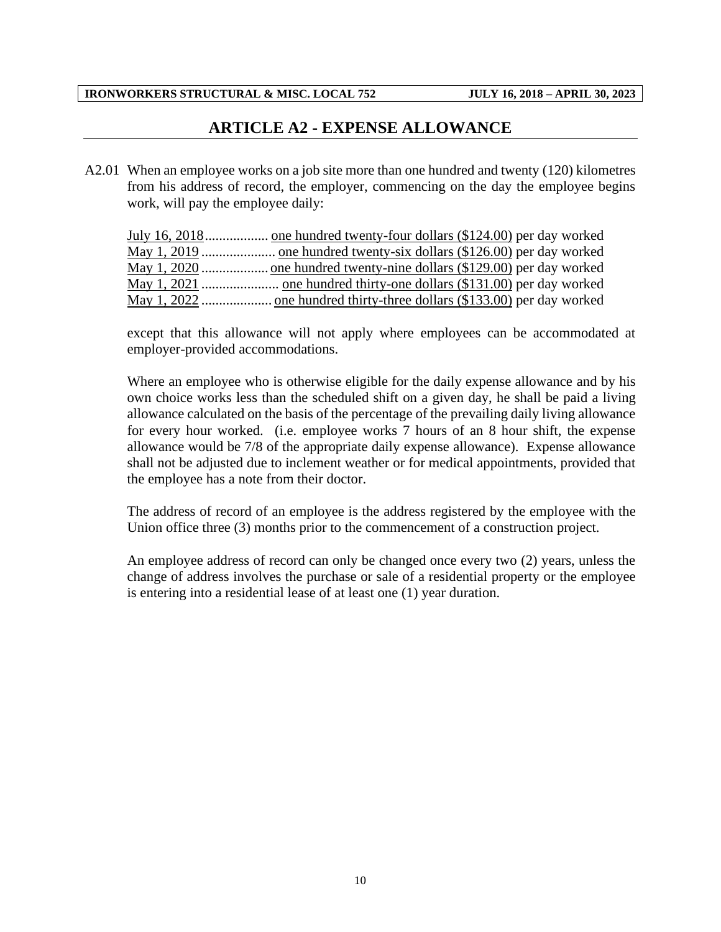# **ARTICLE A2 - EXPENSE ALLOWANCE**

<span id="page-12-0"></span>A2.01 When an employee works on a job site more than one hundred and twenty (120) kilometres from his address of record, the employer, commencing on the day the employee begins work, will pay the employee daily:

July 16, 2018.................. one hundred twenty-four dollars (\$124.00) per day worked May 1, 2019 ..................... one hundred twenty-six dollars (\$126.00) per day worked May 1, 2020 ................... one hundred twenty-nine dollars (\$129.00) per day worked May 1, 2021 ...................... one hundred thirty-one dollars (\$131.00) per day worked May 1, 2022 .................... one hundred thirty-three dollars (\$133.00) per day worked

except that this allowance will not apply where employees can be accommodated at employer-provided accommodations.

Where an employee who is otherwise eligible for the daily expense allowance and by his own choice works less than the scheduled shift on a given day, he shall be paid a living allowance calculated on the basis of the percentage of the prevailing daily living allowance for every hour worked. (i.e. employee works 7 hours of an 8 hour shift, the expense allowance would be 7/8 of the appropriate daily expense allowance). Expense allowance shall not be adjusted due to inclement weather or for medical appointments, provided that the employee has a note from their doctor.

The address of record of an employee is the address registered by the employee with the Union office three (3) months prior to the commencement of a construction project.

An employee address of record can only be changed once every two (2) years, unless the change of address involves the purchase or sale of a residential property or the employee is entering into a residential lease of at least one (1) year duration.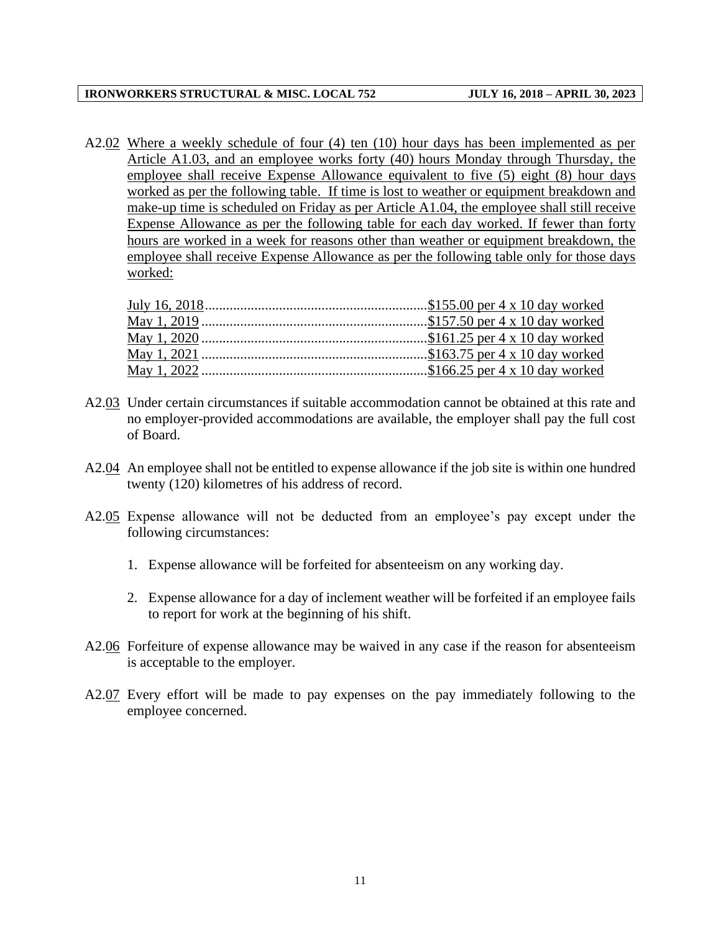A2.02 Where a weekly schedule of four (4) ten (10) hour days has been implemented as per Article A1.03, and an employee works forty (40) hours Monday through Thursday, the employee shall receive Expense Allowance equivalent to five (5) eight (8) hour days worked as per the following table. If time is lost to weather or equipment breakdown and make-up time is scheduled on Friday as per Article A1.04, the employee shall still receive Expense Allowance as per the following table for each day worked. If fewer than forty hours are worked in a week for reasons other than weather or equipment breakdown, the employee shall receive Expense Allowance as per the following table only for those days worked:

- A2.03 Under certain circumstances if suitable accommodation cannot be obtained at this rate and no employer-provided accommodations are available, the employer shall pay the full cost of Board.
- A2.04 An employee shall not be entitled to expense allowance if the job site is within one hundred twenty (120) kilometres of his address of record.
- A2.05 Expense allowance will not be deducted from an employee's pay except under the following circumstances:
	- 1. Expense allowance will be forfeited for absenteeism on any working day.
	- 2. Expense allowance for a day of inclement weather will be forfeited if an employee fails to report for work at the beginning of his shift.
- A2.06 Forfeiture of expense allowance may be waived in any case if the reason for absenteeism is acceptable to the employer.
- A2.07 Every effort will be made to pay expenses on the pay immediately following to the employee concerned.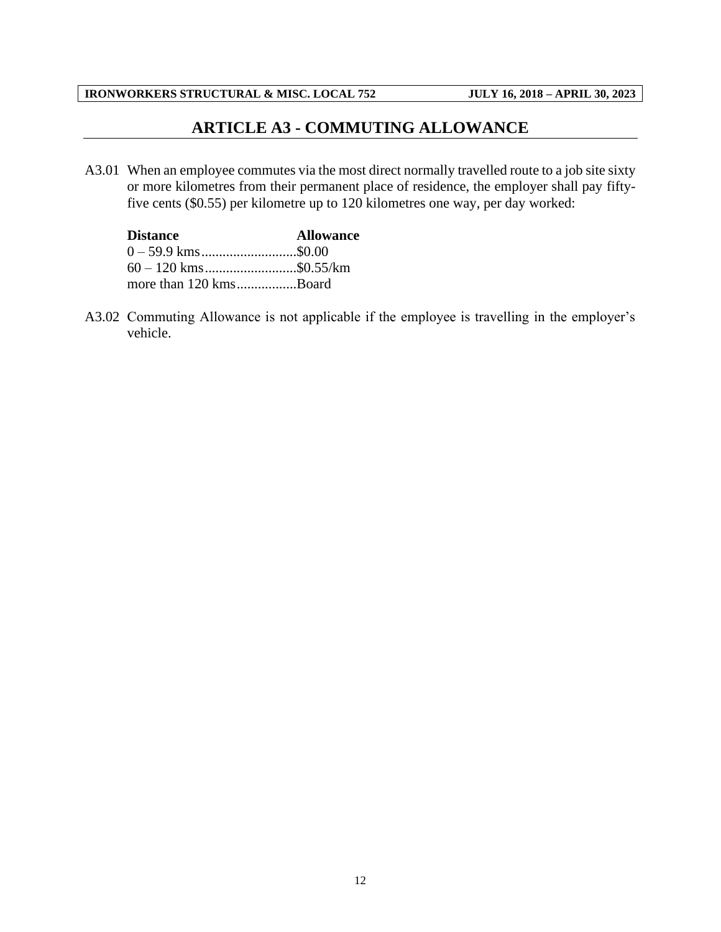## **ARTICLE A3 - COMMUTING ALLOWANCE**

<span id="page-14-0"></span>A3.01 When an employee commutes via the most direct normally travelled route to a job site sixty or more kilometres from their permanent place of residence, the employer shall pay fiftyfive cents (\$0.55) per kilometre up to 120 kilometres one way, per day worked:

| <b>Distance</b>          | <b>Allowance</b> |
|--------------------------|------------------|
| $0-59.9$ kms \$0.00      |                  |
| $60 - 120$ kms \$0.55/km |                  |
| more than 120 kmsBoard   |                  |

A3.02 Commuting Allowance is not applicable if the employee is travelling in the employer's vehicle.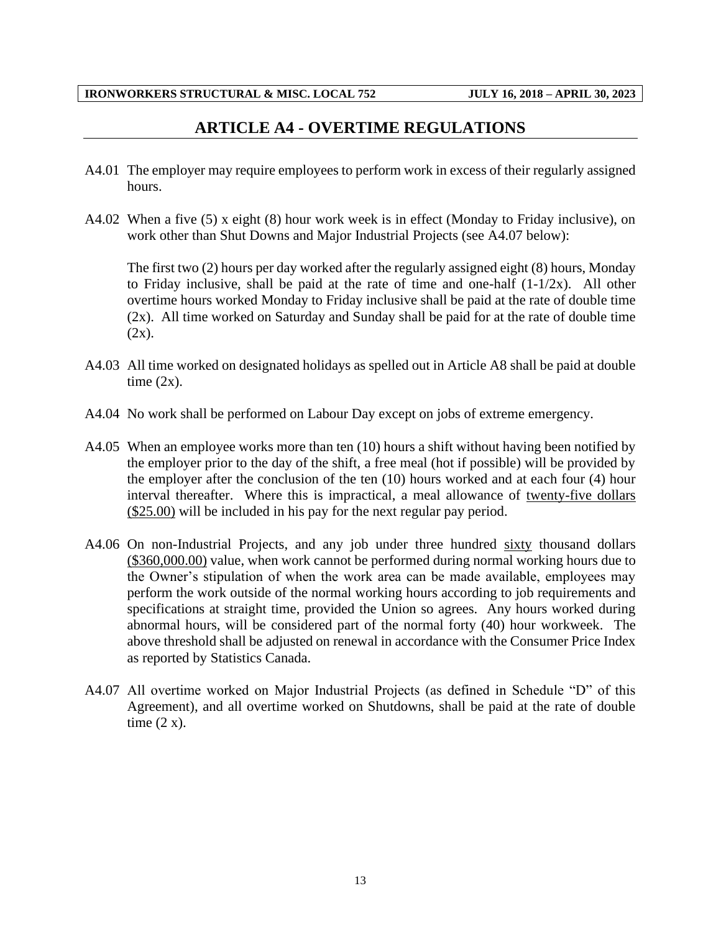## **ARTICLE A4 - OVERTIME REGULATIONS**

- <span id="page-15-0"></span>A4.01 The employer may require employees to perform work in excess of their regularly assigned hours.
- A4.02 When a five (5) x eight (8) hour work week is in effect (Monday to Friday inclusive), on work other than Shut Downs and Major Industrial Projects (see A4.07 below):

The first two (2) hours per day worked after the regularly assigned eight (8) hours, Monday to Friday inclusive, shall be paid at the rate of time and one-half  $(1-1/2x)$ . All other overtime hours worked Monday to Friday inclusive shall be paid at the rate of double time (2x). All time worked on Saturday and Sunday shall be paid for at the rate of double time  $(2x)$ .

- A4.03 All time worked on designated holidays as spelled out in Article A8 shall be paid at double time  $(2x)$ .
- A4.04 No work shall be performed on Labour Day except on jobs of extreme emergency.
- A4.05 When an employee works more than ten (10) hours a shift without having been notified by the employer prior to the day of the shift, a free meal (hot if possible) will be provided by the employer after the conclusion of the ten (10) hours worked and at each four (4) hour interval thereafter. Where this is impractical, a meal allowance of twenty-five dollars (\$25.00) will be included in his pay for the next regular pay period.
- A4.06 On non-Industrial Projects, and any job under three hundred sixty thousand dollars (\$360,000.00) value, when work cannot be performed during normal working hours due to the Owner's stipulation of when the work area can be made available, employees may perform the work outside of the normal working hours according to job requirements and specifications at straight time, provided the Union so agrees. Any hours worked during abnormal hours, will be considered part of the normal forty (40) hour workweek. The above threshold shall be adjusted on renewal in accordance with the Consumer Price Index as reported by Statistics Canada.
- A4.07 All overtime worked on Major Industrial Projects (as defined in Schedule "D" of this Agreement), and all overtime worked on Shutdowns, shall be paid at the rate of double time  $(2 x)$ .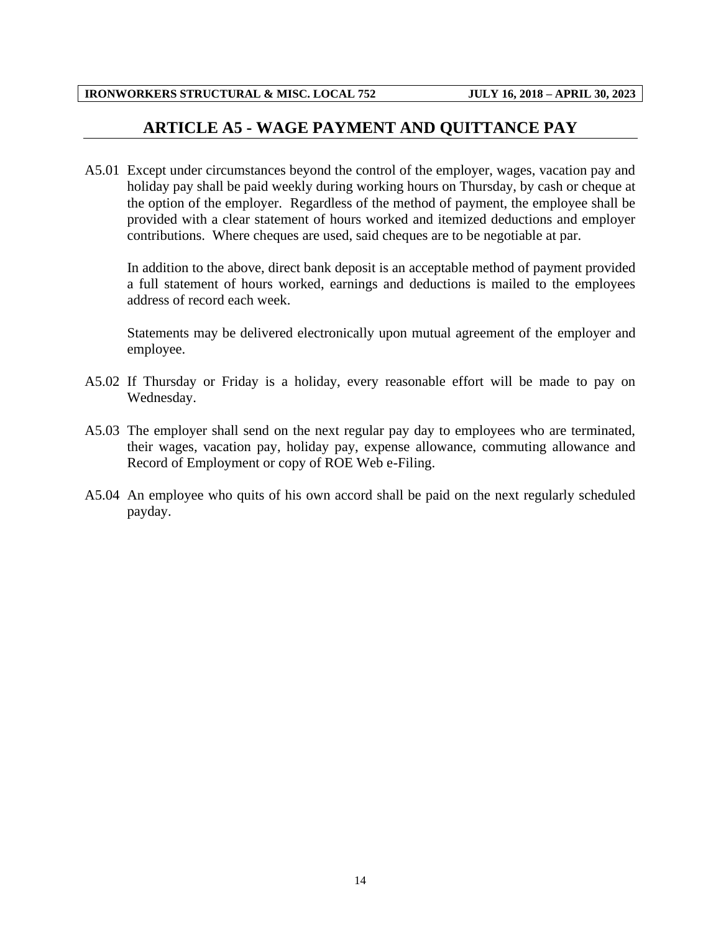## **ARTICLE A5 - WAGE PAYMENT AND QUITTANCE PAY**

<span id="page-16-0"></span>A5.01 Except under circumstances beyond the control of the employer, wages, vacation pay and holiday pay shall be paid weekly during working hours on Thursday, by cash or cheque at the option of the employer. Regardless of the method of payment, the employee shall be provided with a clear statement of hours worked and itemized deductions and employer contributions. Where cheques are used, said cheques are to be negotiable at par.

In addition to the above, direct bank deposit is an acceptable method of payment provided a full statement of hours worked, earnings and deductions is mailed to the employees address of record each week.

Statements may be delivered electronically upon mutual agreement of the employer and employee.

- A5.02 If Thursday or Friday is a holiday, every reasonable effort will be made to pay on Wednesday.
- A5.03 The employer shall send on the next regular pay day to employees who are terminated, their wages, vacation pay, holiday pay, expense allowance, commuting allowance and Record of Employment or copy of ROE Web e-Filing.
- A5.04 An employee who quits of his own accord shall be paid on the next regularly scheduled payday.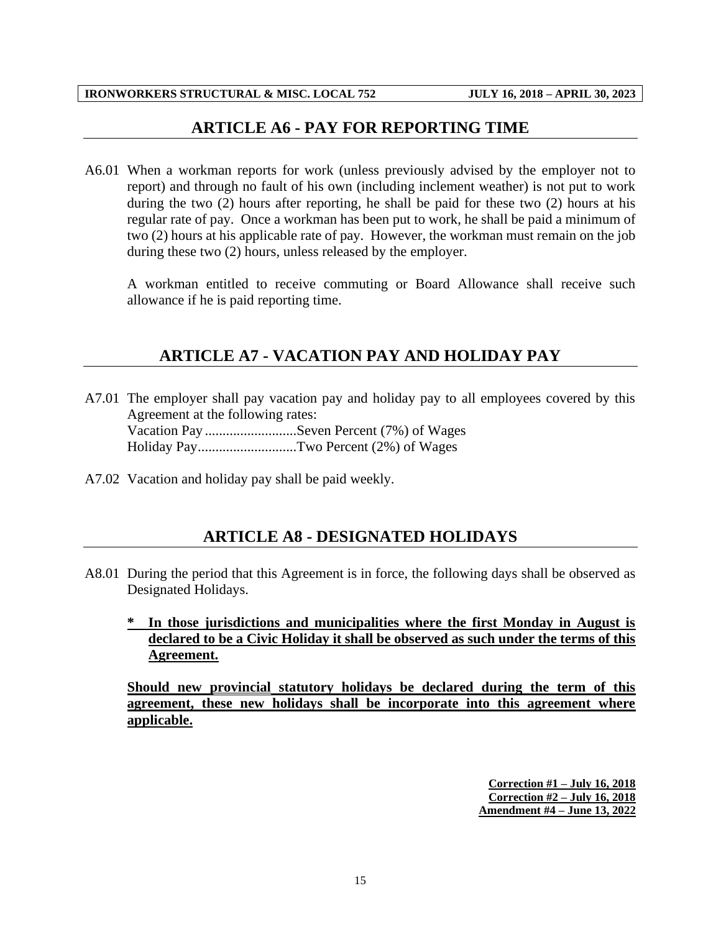## **ARTICLE A6 - PAY FOR REPORTING TIME**

<span id="page-17-0"></span>A6.01 When a workman reports for work (unless previously advised by the employer not to report) and through no fault of his own (including inclement weather) is not put to work during the two (2) hours after reporting, he shall be paid for these two (2) hours at his regular rate of pay. Once a workman has been put to work, he shall be paid a minimum of two (2) hours at his applicable rate of pay. However, the workman must remain on the job during these two (2) hours, unless released by the employer.

<span id="page-17-1"></span>A workman entitled to receive commuting or Board Allowance shall receive such allowance if he is paid reporting time.

## **ARTICLE A7 - VACATION PAY AND HOLIDAY PAY**

- A7.01 The employer shall pay vacation pay and holiday pay to all employees covered by this Agreement at the following rates: Vacation Pay ..........................Seven Percent (7%) of Wages Holiday Pay............................Two Percent (2%) of Wages
- A7.02 Vacation and holiday pay shall be paid weekly.

## **ARTICLE A8 - DESIGNATED HOLIDAYS**

- <span id="page-17-2"></span>A8.01 During the period that this Agreement is in force, the following days shall be observed as Designated Holidays.
	- **\* In those jurisdictions and municipalities where the first Monday in August is declared to be a Civic Holiday it shall be observed as such under the terms of this Agreement.**

**Should new provincial statutory holidays be declared during the term of this agreement, these new holidays shall be incorporate into this agreement where applicable.**

> **Correction #1 – July 16, 2018 Correction #2 – July 16, 2018 Amendment #4 – June 13, 2022**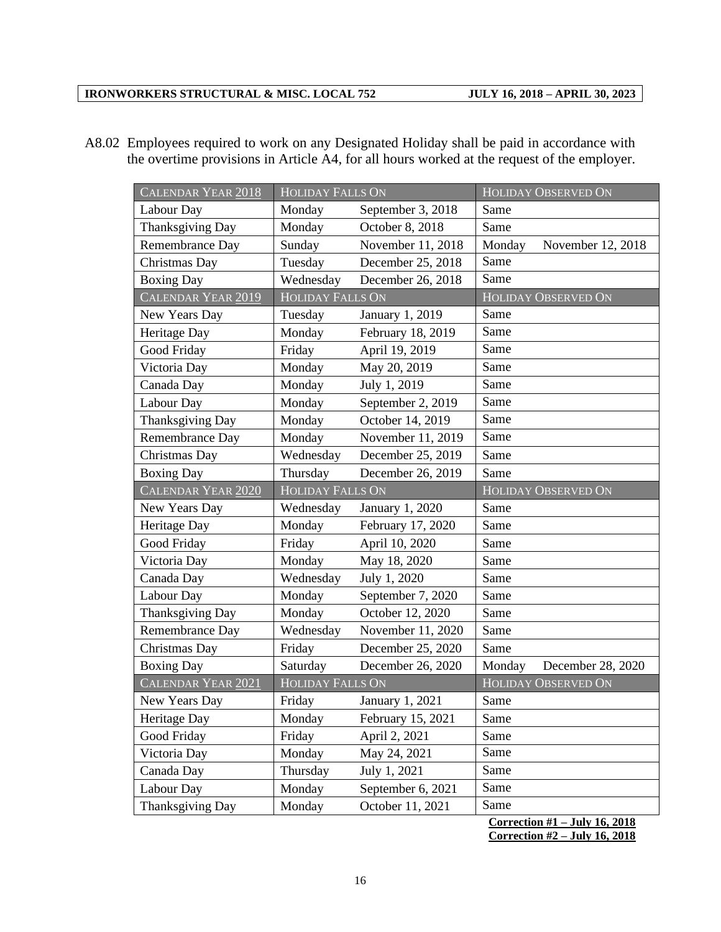A8.02 Employees required to work on any Designated Holiday shall be paid in accordance with the overtime provisions in Article A4, for all hours worked at the request of the employer.

| CALENDAR YEAR 2018        | <b>HOLIDAY FALLS ON</b> |                   | HOLIDAY OBSERVED ON         |  |  |
|---------------------------|-------------------------|-------------------|-----------------------------|--|--|
| Labour Day                | Monday                  | September 3, 2018 | Same                        |  |  |
| Thanksgiving Day          | Monday                  | October 8, 2018   | Same                        |  |  |
| Remembrance Day           | Sunday                  | November 11, 2018 | Monday<br>November 12, 2018 |  |  |
| Christmas Day             | Tuesday                 | December 25, 2018 | Same                        |  |  |
| <b>Boxing Day</b>         | Wednesday               | December 26, 2018 | Same                        |  |  |
| CALENDAR YEAR 2019        | <b>HOLIDAY FALLS ON</b> |                   | <b>HOLIDAY OBSERVED ON</b>  |  |  |
| New Years Day             | Tuesday                 | January 1, 2019   | Same                        |  |  |
| Heritage Day              | Monday                  | February 18, 2019 | Same                        |  |  |
| Good Friday               | Friday                  | April 19, 2019    | Same                        |  |  |
| Victoria Day              | Monday                  | May 20, 2019      | Same                        |  |  |
| Canada Day                | Monday                  | July 1, 2019      | Same                        |  |  |
| Labour Day                | Monday                  | September 2, 2019 | Same                        |  |  |
| Thanksgiving Day          | Monday                  | October 14, 2019  | Same                        |  |  |
| Remembrance Day           | Monday                  | November 11, 2019 | Same                        |  |  |
| Christmas Day             | Wednesday               | December 25, 2019 | Same                        |  |  |
| <b>Boxing Day</b>         | Thursday                | December 26, 2019 | Same                        |  |  |
| CALENDAR YEAR 2020        | <b>HOLIDAY FALLS ON</b> |                   | HOLIDAY OBSERVED ON         |  |  |
| New Years Day             | Wednesday               | January 1, 2020   | Same                        |  |  |
| Heritage Day              | Monday                  | February 17, 2020 | Same                        |  |  |
| Good Friday               | Friday                  | April 10, 2020    | Same                        |  |  |
| Victoria Day              | Monday                  | May 18, 2020      | Same                        |  |  |
| Canada Day                | Wednesday               | July 1, 2020      | Same                        |  |  |
| Labour Day                | Monday                  | September 7, 2020 | Same                        |  |  |
| Thanksgiving Day          | Monday                  | October 12, 2020  | Same                        |  |  |
| Remembrance Day           | Wednesday               | November 11, 2020 | Same                        |  |  |
| Christmas Day             | Friday                  | December 25, 2020 | Same                        |  |  |
| <b>Boxing Day</b>         | Saturday                | December 26, 2020 | Monday<br>December 28, 2020 |  |  |
| <b>CALENDAR YEAR 2021</b> | <b>HOLIDAY FALLS ON</b> |                   | <b>HOLIDAY OBSERVED ON</b>  |  |  |
| New Years Day             | Friday                  | January 1, 2021   | Same                        |  |  |
| Heritage Day              | Monday                  | February 15, 2021 | Same                        |  |  |
| Good Friday               | Friday                  | April 2, 2021     | Same                        |  |  |
| Victoria Day              | Monday                  | May 24, 2021      | Same                        |  |  |
| Canada Day                | Thursday                | July 1, 2021      | Same                        |  |  |
| Labour Day                | Monday                  | September 6, 2021 | Same                        |  |  |
| Thanksgiving Day          | Monday                  | October 11, 2021  | Same                        |  |  |

**Correction #1 – July 16, 2018 Correction #2 – July 16, 2018**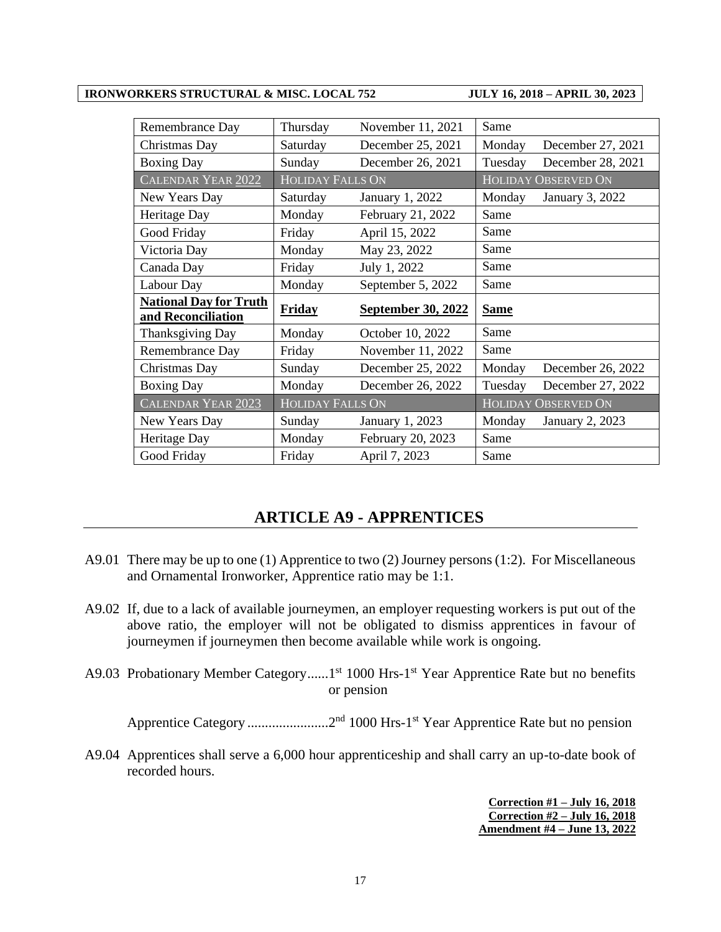| Remembrance Day                                     | Thursday                | November 11, 2021         | Same        |                            |  |
|-----------------------------------------------------|-------------------------|---------------------------|-------------|----------------------------|--|
| Christmas Day                                       | Saturday                | December 25, 2021         | Monday      | December 27, 2021          |  |
| <b>Boxing Day</b>                                   | Sunday                  | December 26, 2021         | Tuesday     | December 28, 2021          |  |
| CALENDAR YEAR 2022                                  | <b>HOLIDAY FALLS ON</b> |                           |             | <b>HOLIDAY OBSERVED ON</b> |  |
| New Years Day                                       | Saturday                | January 1, 2022           | Monday      | <b>January 3, 2022</b>     |  |
| Heritage Day                                        | Monday                  | February 21, 2022         | Same        |                            |  |
| Good Friday                                         | Friday                  | April 15, 2022            | Same        |                            |  |
| Victoria Day                                        | Monday                  | May 23, 2022              | Same        |                            |  |
| Canada Day                                          | Friday                  | July 1, 2022              | Same        |                            |  |
| Labour Day                                          | Monday                  | September 5, 2022         | Same        |                            |  |
| <b>National Day for Truth</b><br>and Reconciliation | <b>Friday</b>           | <b>September 30, 2022</b> | <b>Same</b> |                            |  |
| Thanksgiving Day                                    | Monday                  | October 10, 2022          | Same        |                            |  |
| Remembrance Day                                     | Friday                  | November 11, 2022         | Same        |                            |  |
| Christmas Day                                       | Sunday                  | December 25, 2022         | Monday      | December 26, 2022          |  |
| <b>Boxing Day</b>                                   | Monday                  | December 26, 2022         | Tuesday     | December 27, 2022          |  |
| <b>CALENDAR YEAR 2023</b>                           | <b>HOLIDAY FALLS ON</b> |                           |             | <b>HOLIDAY OBSERVED ON</b> |  |
| New Years Day                                       | Sunday                  | January 1, 2023           | Monday      | <b>January 2, 2023</b>     |  |
| Heritage Day                                        | Monday                  | February 20, 2023         | Same        |                            |  |
| Good Friday                                         | Friday                  | April 7, 2023             | Same        |                            |  |

# <span id="page-19-0"></span>**ARTICLE A9 - APPRENTICES**

- A9.01 There may be up to one (1) Apprentice to two (2) Journey persons (1:2). For Miscellaneous and Ornamental Ironworker, Apprentice ratio may be 1:1.
- A9.02 If, due to a lack of available journeymen, an employer requesting workers is put out of the above ratio, the employer will not be obligated to dismiss apprentices in favour of journeymen if journeymen then become available while work is ongoing.
- A9.03 Probationary Member Category......1<sup>st</sup> 1000 Hrs-1<sup>st</sup> Year Apprentice Rate but no benefits or pension

Apprentice Category .......................2 nd 1000 Hrs-1 st Year Apprentice Rate but no pension

A9.04 Apprentices shall serve a 6,000 hour apprenticeship and shall carry an up-to-date book of recorded hours.

> **Correction #1 – July 16, 2018 Correction #2 – July 16, 2018 Amendment #4 – June 13, 2022**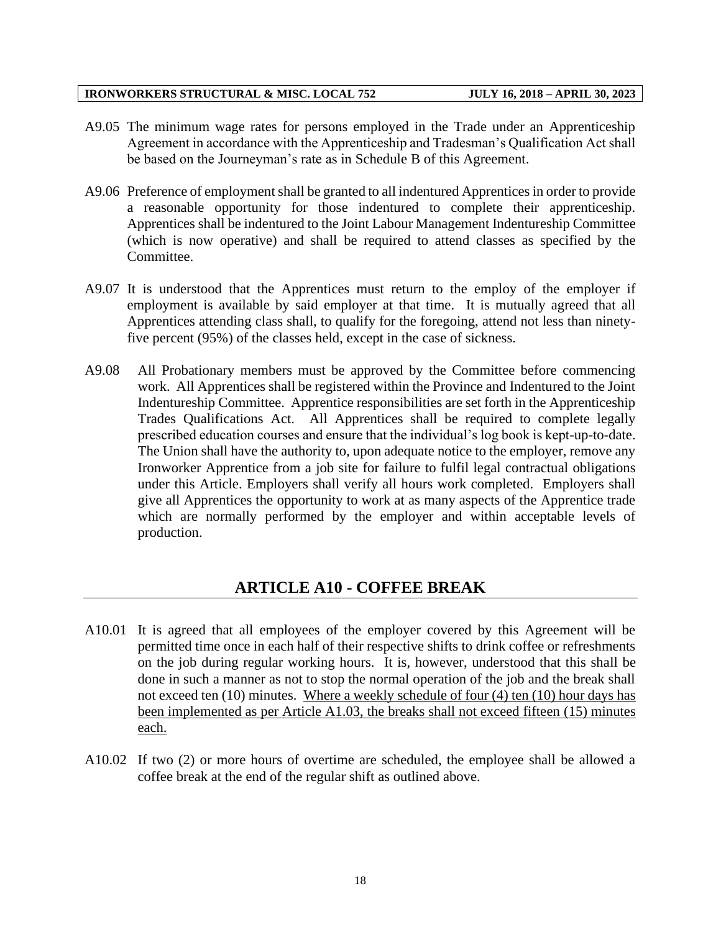- A9.05 The minimum wage rates for persons employed in the Trade under an Apprenticeship Agreement in accordance with the Apprenticeship and Tradesman's Qualification Act shall be based on the Journeyman's rate as in Schedule B of this Agreement.
- A9.06 Preference of employment shall be granted to all indentured Apprentices in order to provide a reasonable opportunity for those indentured to complete their apprenticeship. Apprentices shall be indentured to the Joint Labour Management Indentureship Committee (which is now operative) and shall be required to attend classes as specified by the Committee.
- A9.07 It is understood that the Apprentices must return to the employ of the employer if employment is available by said employer at that time. It is mutually agreed that all Apprentices attending class shall, to qualify for the foregoing, attend not less than ninetyfive percent (95%) of the classes held, except in the case of sickness.
- A9.08 All Probationary members must be approved by the Committee before commencing work. All Apprentices shall be registered within the Province and Indentured to the Joint Indentureship Committee. Apprentice responsibilities are set forth in the Apprenticeship Trades Qualifications Act. All Apprentices shall be required to complete legally prescribed education courses and ensure that the individual's log book is kept-up-to-date. The Union shall have the authority to, upon adequate notice to the employer, remove any Ironworker Apprentice from a job site for failure to fulfil legal contractual obligations under this Article. Employers shall verify all hours work completed. Employers shall give all Apprentices the opportunity to work at as many aspects of the Apprentice trade which are normally performed by the employer and within acceptable levels of production.

# **ARTICLE A10 - COFFEE BREAK**

- <span id="page-20-0"></span>A10.01 It is agreed that all employees of the employer covered by this Agreement will be permitted time once in each half of their respective shifts to drink coffee or refreshments on the job during regular working hours. It is, however, understood that this shall be done in such a manner as not to stop the normal operation of the job and the break shall not exceed ten (10) minutes. Where a weekly schedule of four (4) ten (10) hour days has been implemented as per Article A1.03, the breaks shall not exceed fifteen (15) minutes each.
- A10.02 If two (2) or more hours of overtime are scheduled, the employee shall be allowed a coffee break at the end of the regular shift as outlined above.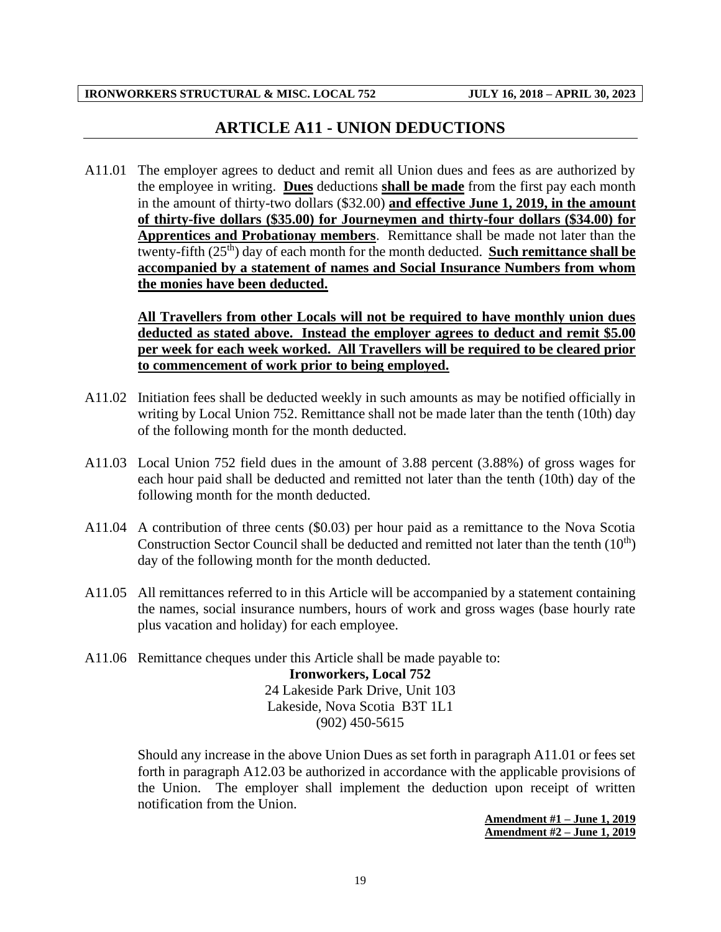## **ARTICLE A11 - UNION DEDUCTIONS**

<span id="page-21-0"></span>A11.01 The employer agrees to deduct and remit all Union dues and fees as are authorized by the employee in writing. **Dues** deductions **shall be made** from the first pay each month in the amount of thirty-two dollars (\$32.00) **and effective June 1, 2019, in the amount of thirty-five dollars (\$35.00) for Journeymen and thirty-four dollars (\$34.00) for Apprentices and Probationay members**. Remittance shall be made not later than the twenty-fifth (25th) day of each month for the month deducted. **Such remittance shall be accompanied by a statement of names and Social Insurance Numbers from whom the monies have been deducted.**

**All Travellers from other Locals will not be required to have monthly union dues deducted as stated above. Instead the employer agrees to deduct and remit \$5.00 per week for each week worked. All Travellers will be required to be cleared prior to commencement of work prior to being employed.**

- A11.02 Initiation fees shall be deducted weekly in such amounts as may be notified officially in writing by Local Union 752. Remittance shall not be made later than the tenth (10th) day of the following month for the month deducted.
- A11.03 Local Union 752 field dues in the amount of 3.88 percent (3.88%) of gross wages for each hour paid shall be deducted and remitted not later than the tenth (10th) day of the following month for the month deducted.
- A11.04 A contribution of three cents (\$0.03) per hour paid as a remittance to the Nova Scotia Construction Sector Council shall be deducted and remitted not later than the tenth  $(10<sup>th</sup>)$ day of the following month for the month deducted.
- A11.05 All remittances referred to in this Article will be accompanied by a statement containing the names, social insurance numbers, hours of work and gross wages (base hourly rate plus vacation and holiday) for each employee.
- A11.06 Remittance cheques under this Article shall be made payable to: **Ironworkers, Local 752** 24 Lakeside Park Drive, Unit 103 Lakeside, Nova Scotia B3T 1L1 (902) 450-5615

Should any increase in the above Union Dues as set forth in paragraph A11.01 or fees set forth in paragraph A12.03 be authorized in accordance with the applicable provisions of the Union. The employer shall implement the deduction upon receipt of written notification from the Union.

> **Amendment #1 – June 1, 2019 Amendment #2 – June 1, 2019**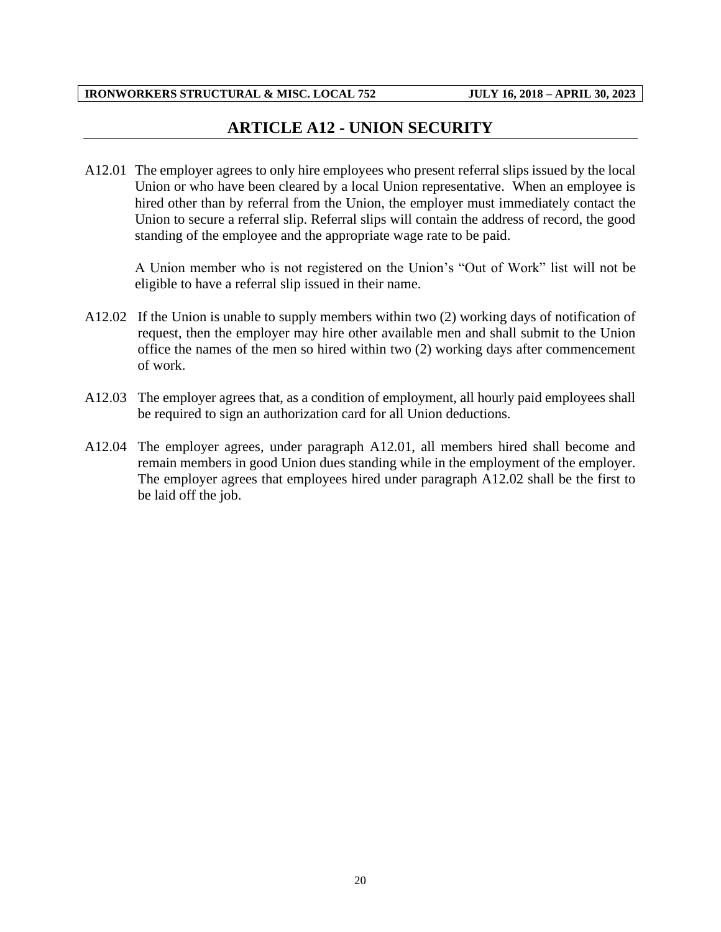# **ARTICLE A12 - UNION SECURITY**

<span id="page-22-0"></span>A12.01 The employer agrees to only hire employees who present referral slips issued by the local Union or who have been cleared by a local Union representative. When an employee is hired other than by referral from the Union, the employer must immediately contact the Union to secure a referral slip. Referral slips will contain the address of record, the good standing of the employee and the appropriate wage rate to be paid.

A Union member who is not registered on the Union's "Out of Work" list will not be eligible to have a referral slip issued in their name.

- A12.02 If the Union is unable to supply members within two (2) working days of notification of request, then the employer may hire other available men and shall submit to the Union office the names of the men so hired within two (2) working days after commencement of work.
- A12.03 The employer agrees that, as a condition of employment, all hourly paid employees shall be required to sign an authorization card for all Union deductions.
- A12.04 The employer agrees, under paragraph A12.01, all members hired shall become and remain members in good Union dues standing while in the employment of the employer. The employer agrees that employees hired under paragraph A12.02 shall be the first to be laid off the job.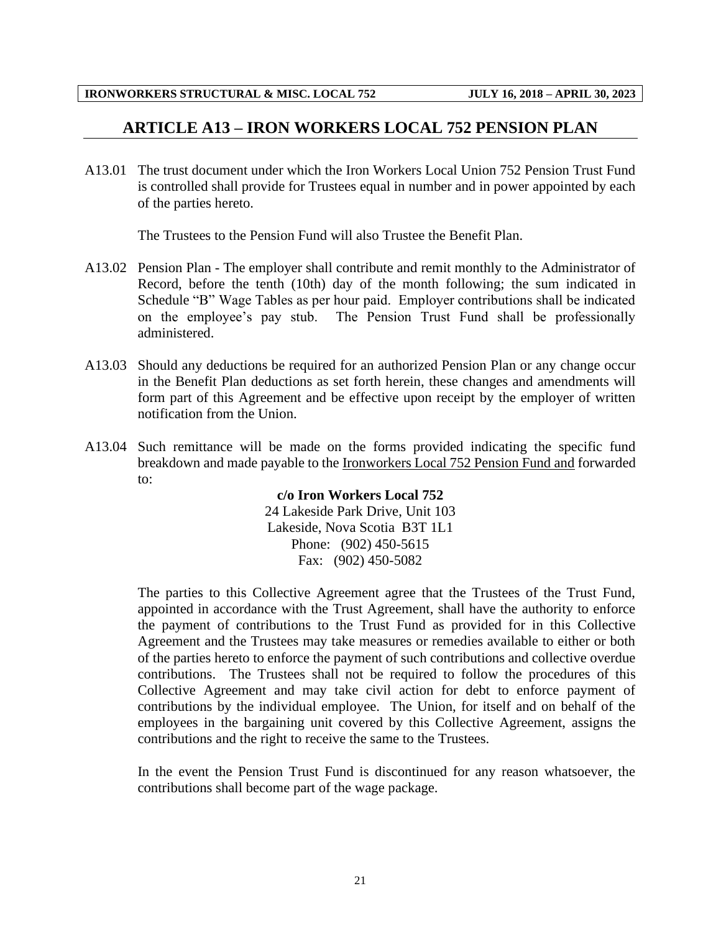#### <span id="page-23-0"></span>**ARTICLE A13 – IRON WORKERS LOCAL 752 PENSION PLAN**

A13.01 The trust document under which the Iron Workers Local Union 752 Pension Trust Fund is controlled shall provide for Trustees equal in number and in power appointed by each of the parties hereto.

The Trustees to the Pension Fund will also Trustee the Benefit Plan.

- A13.02 Pension Plan The employer shall contribute and remit monthly to the Administrator of Record, before the tenth (10th) day of the month following; the sum indicated in Schedule "B" Wage Tables as per hour paid. Employer contributions shall be indicated on the employee's pay stub. The Pension Trust Fund shall be professionally administered.
- A13.03 Should any deductions be required for an authorized Pension Plan or any change occur in the Benefit Plan deductions as set forth herein, these changes and amendments will form part of this Agreement and be effective upon receipt by the employer of written notification from the Union.
- A13.04 Such remittance will be made on the forms provided indicating the specific fund breakdown and made payable to the Ironworkers Local 752 Pension Fund and forwarded to:

**c/o Iron Workers Local 752** 24 Lakeside Park Drive, Unit 103 Lakeside, Nova Scotia B3T 1L1 Phone: (902) 450-5615 Fax: (902) 450-5082

The parties to this Collective Agreement agree that the Trustees of the Trust Fund, appointed in accordance with the Trust Agreement, shall have the authority to enforce the payment of contributions to the Trust Fund as provided for in this Collective Agreement and the Trustees may take measures or remedies available to either or both of the parties hereto to enforce the payment of such contributions and collective overdue contributions. The Trustees shall not be required to follow the procedures of this Collective Agreement and may take civil action for debt to enforce payment of contributions by the individual employee. The Union, for itself and on behalf of the employees in the bargaining unit covered by this Collective Agreement, assigns the contributions and the right to receive the same to the Trustees.

In the event the Pension Trust Fund is discontinued for any reason whatsoever, the contributions shall become part of the wage package.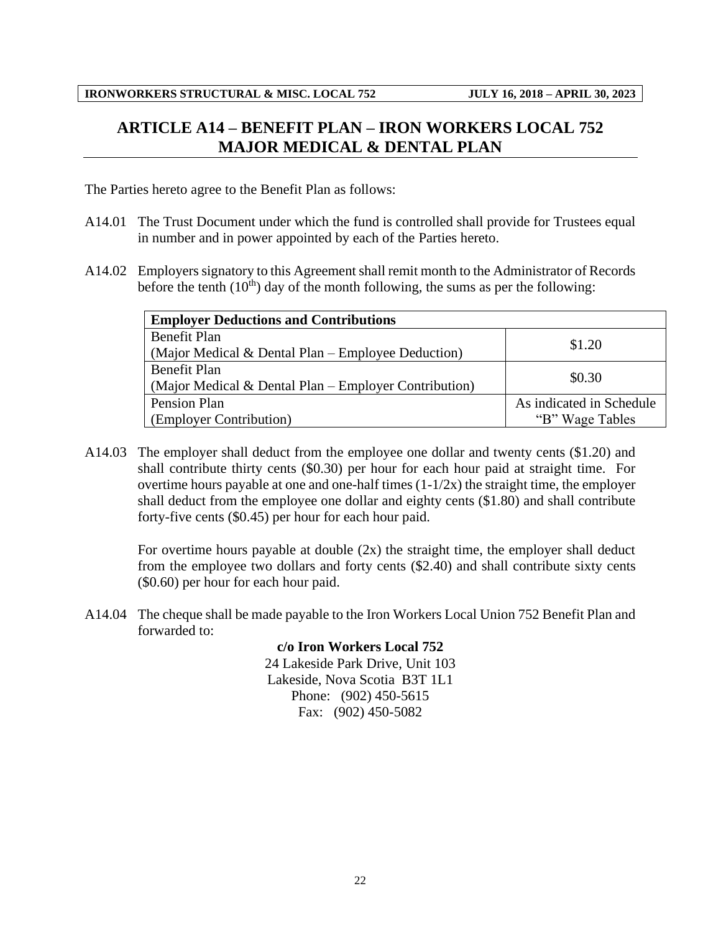# <span id="page-24-0"></span>**ARTICLE A14 – BENEFIT PLAN – IRON WORKERS LOCAL 752 MAJOR MEDICAL & DENTAL PLAN**

The Parties hereto agree to the Benefit Plan as follows:

- A14.01 The Trust Document under which the fund is controlled shall provide for Trustees equal in number and in power appointed by each of the Parties hereto.
- A14.02 Employers signatory to this Agreement shall remit month to the Administrator of Records before the tenth  $(10<sup>th</sup>)$  day of the month following, the sums as per the following:

| <b>Employer Deductions and Contributions</b>          |                          |
|-------------------------------------------------------|--------------------------|
| <b>Benefit Plan</b>                                   | \$1.20                   |
| (Major Medical $&$ Dental Plan – Employee Deduction)  |                          |
| <b>Benefit Plan</b>                                   | \$0.30                   |
| (Major Medical & Dental Plan – Employer Contribution) |                          |
| Pension Plan                                          | As indicated in Schedule |
| (Employer Contribution)                               | "B" Wage Tables"         |

A14.03 The employer shall deduct from the employee one dollar and twenty cents (\$1.20) and shall contribute thirty cents (\$0.30) per hour for each hour paid at straight time. For overtime hours payable at one and one-half times  $(1-1/2x)$  the straight time, the employer shall deduct from the employee one dollar and eighty cents (\$1.80) and shall contribute forty-five cents (\$0.45) per hour for each hour paid.

For overtime hours payable at double (2x) the straight time, the employer shall deduct from the employee two dollars and forty cents (\$2.40) and shall contribute sixty cents (\$0.60) per hour for each hour paid.

A14.04 The cheque shall be made payable to the Iron Workers Local Union 752 Benefit Plan and forwarded to:

> **c/o Iron Workers Local 752** 24 Lakeside Park Drive, Unit 103 Lakeside, Nova Scotia B3T 1L1 Phone: (902) 450-5615 Fax: (902) 450-5082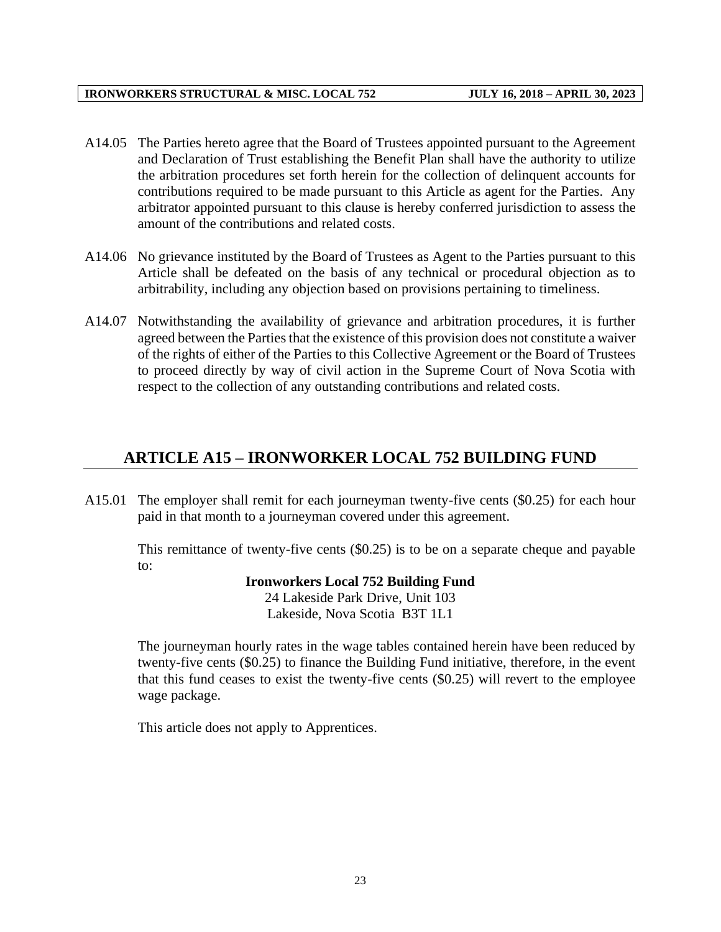- A14.05 The Parties hereto agree that the Board of Trustees appointed pursuant to the Agreement and Declaration of Trust establishing the Benefit Plan shall have the authority to utilize the arbitration procedures set forth herein for the collection of delinquent accounts for contributions required to be made pursuant to this Article as agent for the Parties. Any arbitrator appointed pursuant to this clause is hereby conferred jurisdiction to assess the amount of the contributions and related costs.
- A14.06 No grievance instituted by the Board of Trustees as Agent to the Parties pursuant to this Article shall be defeated on the basis of any technical or procedural objection as to arbitrability, including any objection based on provisions pertaining to timeliness.
- A14.07 Notwithstanding the availability of grievance and arbitration procedures, it is further agreed between the Parties that the existence of this provision does not constitute a waiver of the rights of either of the Parties to this Collective Agreement or the Board of Trustees to proceed directly by way of civil action in the Supreme Court of Nova Scotia with respect to the collection of any outstanding contributions and related costs.

# <span id="page-25-0"></span>**ARTICLE A15 – IRONWORKER LOCAL 752 BUILDING FUND**

A15.01 The employer shall remit for each journeyman twenty-five cents (\$0.25) for each hour paid in that month to a journeyman covered under this agreement.

This remittance of twenty-five cents (\$0.25) is to be on a separate cheque and payable to:

#### **Ironworkers Local 752 Building Fund**

24 Lakeside Park Drive, Unit 103 Lakeside, Nova Scotia B3T 1L1

The journeyman hourly rates in the wage tables contained herein have been reduced by twenty-five cents (\$0.25) to finance the Building Fund initiative, therefore, in the event that this fund ceases to exist the twenty-five cents (\$0.25) will revert to the employee wage package.

This article does not apply to Apprentices.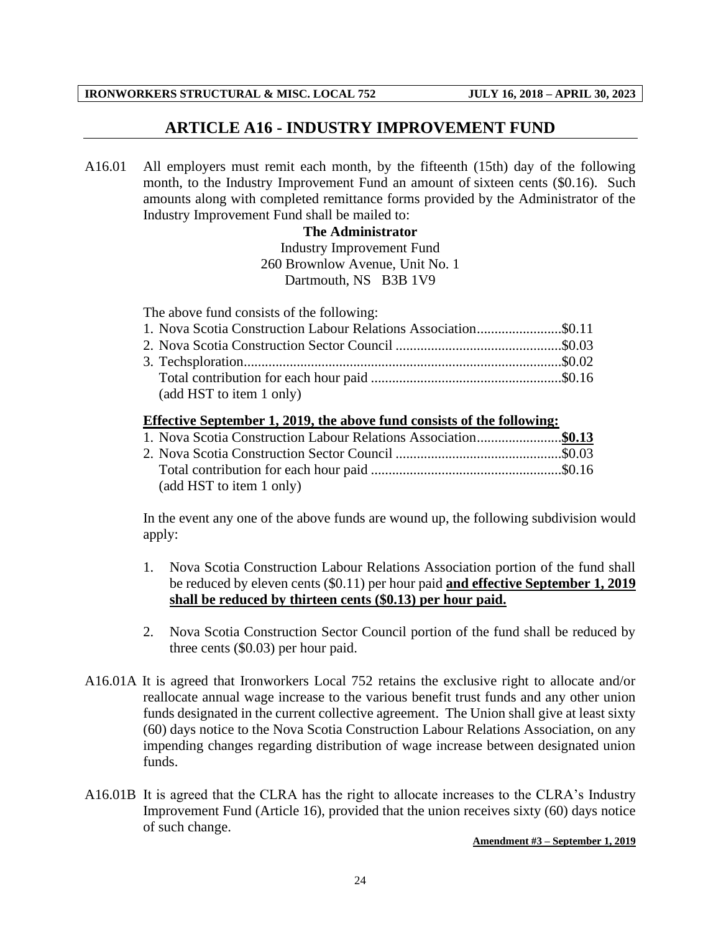#### **ARTICLE A16 - INDUSTRY IMPROVEMENT FUND**

<span id="page-26-0"></span>A16.01 All employers must remit each month, by the fifteenth (15th) day of the following month, to the Industry Improvement Fund an amount of sixteen cents (\$0.16). Such amounts along with completed remittance forms provided by the Administrator of the Industry Improvement Fund shall be mailed to:

#### **The Administrator**

Industry Improvement Fund 260 Brownlow Avenue, Unit No. 1 Dartmouth, NS B3B 1V9

The above fund consists of the following:

| 1. Nova Scotia Construction Labour Relations Association\$0.11 |  |
|----------------------------------------------------------------|--|
|                                                                |  |
|                                                                |  |
|                                                                |  |
| (add HST to item 1 only)                                       |  |

#### **Effective September 1, 2019, the above fund consists of the following:**

| 1. Nova Scotia Construction Labour Relations Association\$0.13 |  |
|----------------------------------------------------------------|--|
|                                                                |  |
|                                                                |  |
| (add HST to item 1 only)                                       |  |

In the event any one of the above funds are wound up, the following subdivision would apply:

- 1. Nova Scotia Construction Labour Relations Association portion of the fund shall be reduced by eleven cents (\$0.11) per hour paid **and effective September 1, 2019 shall be reduced by thirteen cents (\$0.13) per hour paid.**
- 2. Nova Scotia Construction Sector Council portion of the fund shall be reduced by three cents (\$0.03) per hour paid.
- A16.01A It is agreed that Ironworkers Local 752 retains the exclusive right to allocate and/or reallocate annual wage increase to the various benefit trust funds and any other union funds designated in the current collective agreement. The Union shall give at least sixty (60) days notice to the Nova Scotia Construction Labour Relations Association, on any impending changes regarding distribution of wage increase between designated union funds.
- A16.01B It is agreed that the CLRA has the right to allocate increases to the CLRA's Industry Improvement Fund (Article 16), provided that the union receives sixty (60) days notice of such change.

**Amendment #3 – September 1, 2019**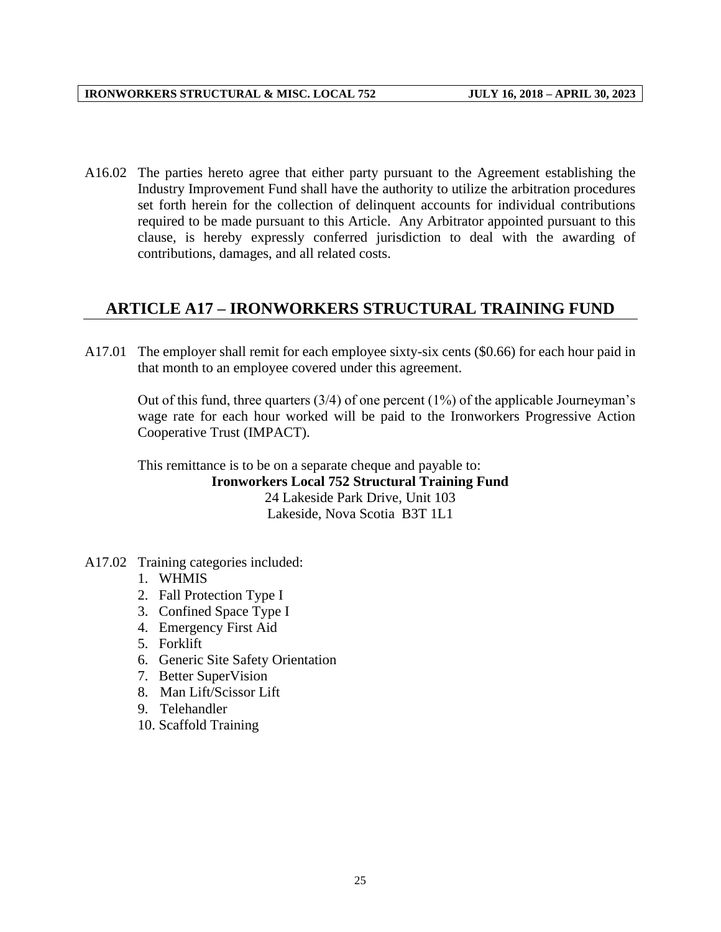A16.02 The parties hereto agree that either party pursuant to the Agreement establishing the Industry Improvement Fund shall have the authority to utilize the arbitration procedures set forth herein for the collection of delinquent accounts for individual contributions required to be made pursuant to this Article. Any Arbitrator appointed pursuant to this clause, is hereby expressly conferred jurisdiction to deal with the awarding of contributions, damages, and all related costs.

## <span id="page-27-0"></span>**ARTICLE A17 – IRONWORKERS STRUCTURAL TRAINING FUND**

A17.01 The employer shall remit for each employee sixty-six cents (\$0.66) for each hour paid in that month to an employee covered under this agreement.

Out of this fund, three quarters  $(3/4)$  of one percent  $(1%)$  of the applicable Journeyman's wage rate for each hour worked will be paid to the Ironworkers Progressive Action Cooperative Trust (IMPACT).

This remittance is to be on a separate cheque and payable to: **Ironworkers Local 752 Structural Training Fund** 24 Lakeside Park Drive, Unit 103 Lakeside, Nova Scotia B3T 1L1

A17.02 Training categories included:

#### 1. WHMIS

- 2. Fall Protection Type I
- 3. Confined Space Type I
- 4. Emergency First Aid
- 5. Forklift
- 6. Generic Site Safety Orientation
- 7. Better SuperVision
- 8. Man Lift/Scissor Lift
- 9. Telehandler
- 10. Scaffold Training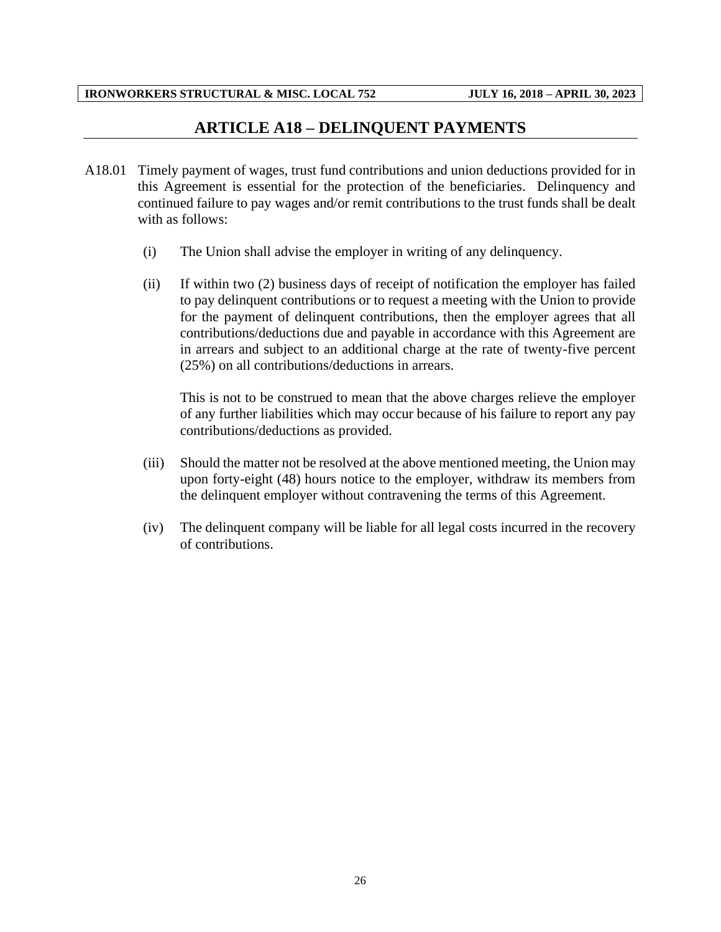## **ARTICLE A18 – DELINQUENT PAYMENTS**

- <span id="page-28-0"></span>A18.01 Timely payment of wages, trust fund contributions and union deductions provided for in this Agreement is essential for the protection of the beneficiaries. Delinquency and continued failure to pay wages and/or remit contributions to the trust funds shall be dealt with as follows:
	- (i) The Union shall advise the employer in writing of any delinquency.
	- (ii) If within two (2) business days of receipt of notification the employer has failed to pay delinquent contributions or to request a meeting with the Union to provide for the payment of delinquent contributions, then the employer agrees that all contributions/deductions due and payable in accordance with this Agreement are in arrears and subject to an additional charge at the rate of twenty-five percent (25%) on all contributions/deductions in arrears.

This is not to be construed to mean that the above charges relieve the employer of any further liabilities which may occur because of his failure to report any pay contributions/deductions as provided.

- (iii) Should the matter not be resolved at the above mentioned meeting, the Union may upon forty-eight (48) hours notice to the employer, withdraw its members from the delinquent employer without contravening the terms of this Agreement.
- (iv) The delinquent company will be liable for all legal costs incurred in the recovery of contributions.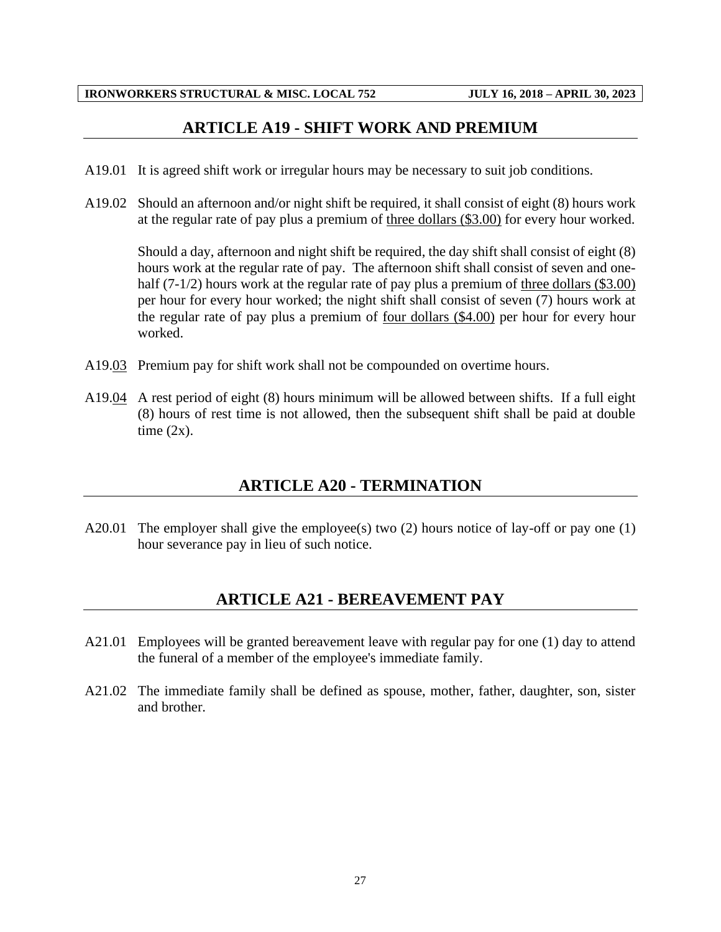## **ARTICLE A19 - SHIFT WORK AND PREMIUM**

- <span id="page-29-0"></span>A19.01 It is agreed shift work or irregular hours may be necessary to suit job conditions.
- A19.02 Should an afternoon and/or night shift be required, it shall consist of eight (8) hours work at the regular rate of pay plus a premium of three dollars (\$3.00) for every hour worked.

Should a day, afternoon and night shift be required, the day shift shall consist of eight (8) hours work at the regular rate of pay. The afternoon shift shall consist of seven and onehalf (7-1/2) hours work at the regular rate of pay plus a premium of three dollars (\$3.00) per hour for every hour worked; the night shift shall consist of seven (7) hours work at the regular rate of pay plus a premium of four dollars (\$4.00) per hour for every hour worked.

- A19.03 Premium pay for shift work shall not be compounded on overtime hours.
- <span id="page-29-1"></span>A19.04 A rest period of eight (8) hours minimum will be allowed between shifts. If a full eight (8) hours of rest time is not allowed, then the subsequent shift shall be paid at double time  $(2x)$ .

## **ARTICLE A20 - TERMINATION**

<span id="page-29-2"></span>A20.01 The employer shall give the employee(s) two (2) hours notice of lay-off or pay one (1) hour severance pay in lieu of such notice.

## **ARTICLE A21 - BEREAVEMENT PAY**

- A21.01 Employees will be granted bereavement leave with regular pay for one (1) day to attend the funeral of a member of the employee's immediate family.
- A21.02 The immediate family shall be defined as spouse, mother, father, daughter, son, sister and brother.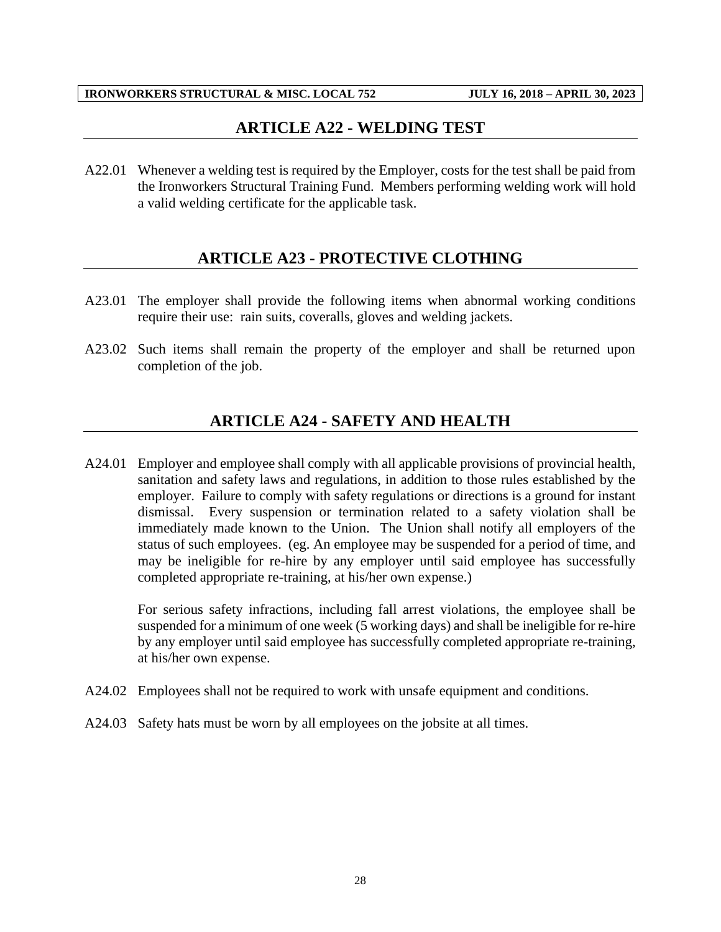## **ARTICLE A22 - WELDING TEST**

<span id="page-30-1"></span><span id="page-30-0"></span>A22.01 Whenever a welding test is required by the Employer, costs for the test shall be paid from the Ironworkers Structural Training Fund. Members performing welding work will hold a valid welding certificate for the applicable task.

## **ARTICLE A23 - PROTECTIVE CLOTHING**

- A23.01 The employer shall provide the following items when abnormal working conditions require their use: rain suits, coveralls, gloves and welding jackets.
- <span id="page-30-2"></span>A23.02 Such items shall remain the property of the employer and shall be returned upon completion of the job.

# **ARTICLE A24 - SAFETY AND HEALTH**

A24.01 Employer and employee shall comply with all applicable provisions of provincial health, sanitation and safety laws and regulations, in addition to those rules established by the employer. Failure to comply with safety regulations or directions is a ground for instant dismissal. Every suspension or termination related to a safety violation shall be immediately made known to the Union. The Union shall notify all employers of the status of such employees. (eg. An employee may be suspended for a period of time, and may be ineligible for re-hire by any employer until said employee has successfully completed appropriate re-training, at his/her own expense.)

For serious safety infractions, including fall arrest violations, the employee shall be suspended for a minimum of one week (5 working days) and shall be ineligible for re-hire by any employer until said employee has successfully completed appropriate re-training, at his/her own expense.

- A24.02 Employees shall not be required to work with unsafe equipment and conditions.
- A24.03 Safety hats must be worn by all employees on the jobsite at all times.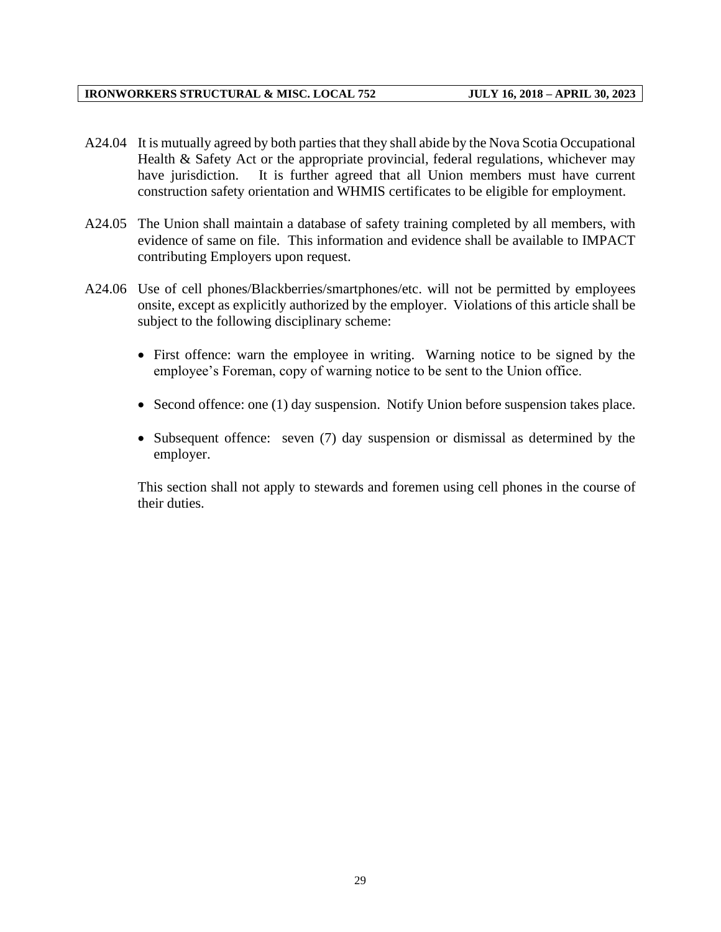- A24.04 It is mutually agreed by both parties that they shall abide by the Nova Scotia Occupational Health & Safety Act or the appropriate provincial, federal regulations, whichever may have jurisdiction. It is further agreed that all Union members must have current construction safety orientation and WHMIS certificates to be eligible for employment.
- A24.05 The Union shall maintain a database of safety training completed by all members, with evidence of same on file. This information and evidence shall be available to IMPACT contributing Employers upon request.
- A24.06 Use of cell phones/Blackberries/smartphones/etc. will not be permitted by employees onsite, except as explicitly authorized by the employer. Violations of this article shall be subject to the following disciplinary scheme:
	- First offence: warn the employee in writing. Warning notice to be signed by the employee's Foreman, copy of warning notice to be sent to the Union office.
	- Second offence: one (1) day suspension. Notify Union before suspension takes place.
	- Subsequent offence: seven (7) day suspension or dismissal as determined by the employer.

This section shall not apply to stewards and foremen using cell phones in the course of their duties.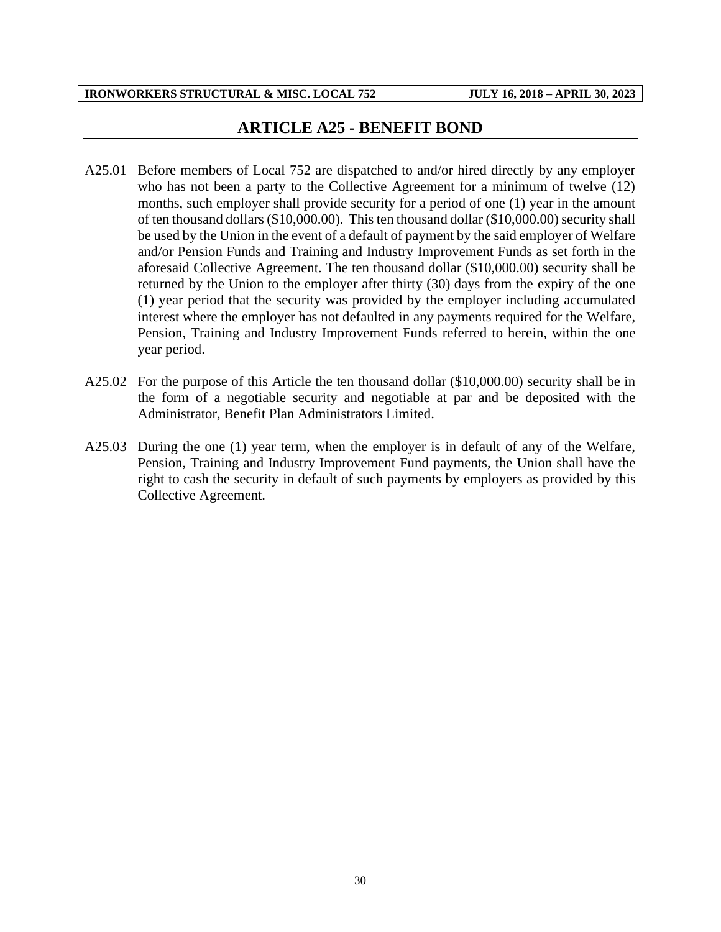## **ARTICLE A25 - BENEFIT BOND**

- <span id="page-32-0"></span>A25.01 Before members of Local 752 are dispatched to and/or hired directly by any employer who has not been a party to the Collective Agreement for a minimum of twelve (12) months, such employer shall provide security for a period of one (1) year in the amount of ten thousand dollars (\$10,000.00). This ten thousand dollar (\$10,000.00) security shall be used by the Union in the event of a default of payment by the said employer of Welfare and/or Pension Funds and Training and Industry Improvement Funds as set forth in the aforesaid Collective Agreement. The ten thousand dollar (\$10,000.00) security shall be returned by the Union to the employer after thirty (30) days from the expiry of the one (1) year period that the security was provided by the employer including accumulated interest where the employer has not defaulted in any payments required for the Welfare, Pension, Training and Industry Improvement Funds referred to herein, within the one year period.
- A25.02 For the purpose of this Article the ten thousand dollar (\$10,000.00) security shall be in the form of a negotiable security and negotiable at par and be deposited with the Administrator, Benefit Plan Administrators Limited.
- A25.03 During the one (1) year term, when the employer is in default of any of the Welfare, Pension, Training and Industry Improvement Fund payments, the Union shall have the right to cash the security in default of such payments by employers as provided by this Collective Agreement.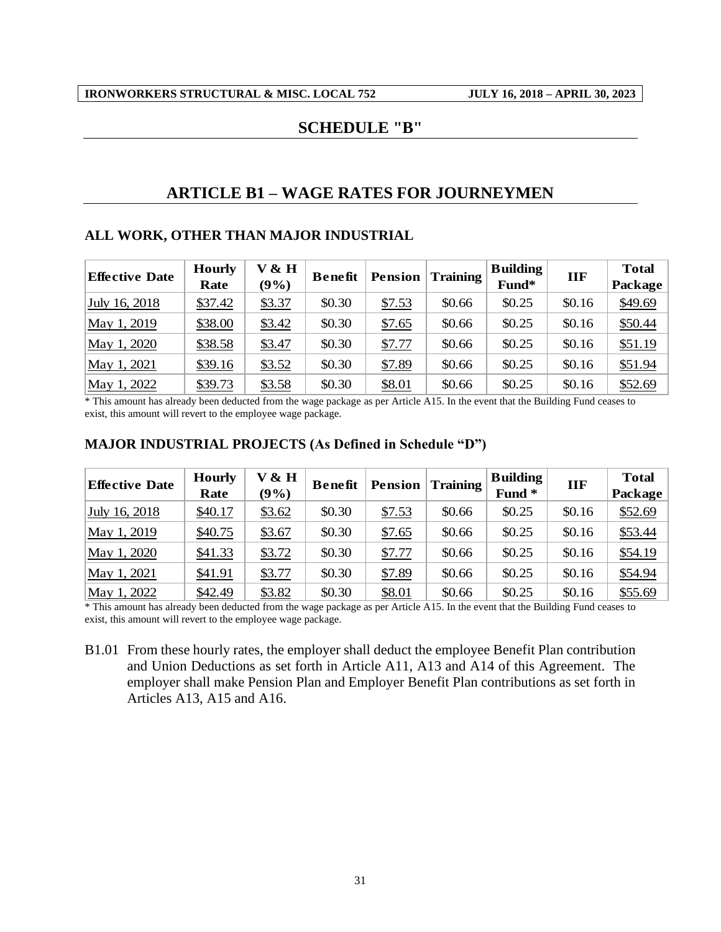#### **SCHEDULE "B"**

## <span id="page-33-0"></span>**ARTICLE B1 – WAGE RATES FOR JOURNEYMEN**

#### <span id="page-33-1"></span>**ALL WORK, OTHER THAN MAJOR INDUSTRIAL**

| <b>Effective Date</b> | <b>Hourly</b><br>Rate | V & H<br>(9%) | <b>Benefit</b> | <b>Pension</b> | <b>Training</b> | <b>Building</b><br>Fund* | <b>IIF</b> | <b>Total</b><br>Package |
|-----------------------|-----------------------|---------------|----------------|----------------|-----------------|--------------------------|------------|-------------------------|
| July 16, 2018         | \$37.42               | \$3.37        | \$0.30         | \$7.53         | \$0.66          | \$0.25                   | \$0.16     | \$49.69                 |
| May 1, 2019           | \$38.00               | \$3.42        | \$0.30         | \$7.65         | \$0.66          | \$0.25                   | \$0.16     | \$50.44                 |
| May 1, 2020           | \$38.58               | \$3.47        | \$0.30         | \$7.77         | \$0.66          | \$0.25                   | \$0.16     | \$51.19                 |
| May 1, 2021           | \$39.16               | \$3.52        | \$0.30         | \$7.89         | \$0.66          | \$0.25                   | \$0.16     | \$51.94                 |
| May 1, 2022           | \$39.73               | \$3.58        | \$0.30         | \$8.01         | \$0.66          | \$0.25                   | \$0.16     | \$52.69                 |

\* This amount has already been deducted from the wage package as per Article A15. In the event that the Building Fund ceases to exist, this amount will revert to the employee wage package.

| <b>Effective Date</b> | <b>Hourly</b><br>Rate | V & H<br>$(9\%)$ | <b>Benefit</b> | <b>Pension</b> | <b>Training</b> | <b>Building</b><br>Fund * | <b>IIF</b> | <b>Total</b><br>Package |
|-----------------------|-----------------------|------------------|----------------|----------------|-----------------|---------------------------|------------|-------------------------|
| July 16, 2018         | \$40.17               | \$3.62           | \$0.30         | \$7.53         | \$0.66          | \$0.25                    | \$0.16     | \$52.69                 |
| May 1, 2019           | \$40.75               | \$3.67           | \$0.30         | \$7.65         | \$0.66          | \$0.25                    | \$0.16     | \$53.44                 |
| May 1, 2020           | \$41.33               | \$3.72           | \$0.30         | \$7.77         | \$0.66          | \$0.25                    | \$0.16     | \$54.19                 |
| May 1, 2021           | \$41.91               | \$3.77           | \$0.30         | \$7.89         | \$0.66          | \$0.25                    | \$0.16     | \$54.94                 |
| May 1, 2022           | \$42.49               | \$3.82           | \$0.30         | \$8.01         | \$0.66          | \$0.25                    | \$0.16     | \$55.69                 |

#### **MAJOR INDUSTRIAL PROJECTS (As Defined in Schedule "D")**

\* This amount has already been deducted from the wage package as per Article A15. In the event that the Building Fund ceases to exist, this amount will revert to the employee wage package.

B1.01 From these hourly rates, the employer shall deduct the employee Benefit Plan contribution and Union Deductions as set forth in Article A11, A13 and A14 of this Agreement. The employer shall make Pension Plan and Employer Benefit Plan contributions as set forth in Articles A13, A15 and A16.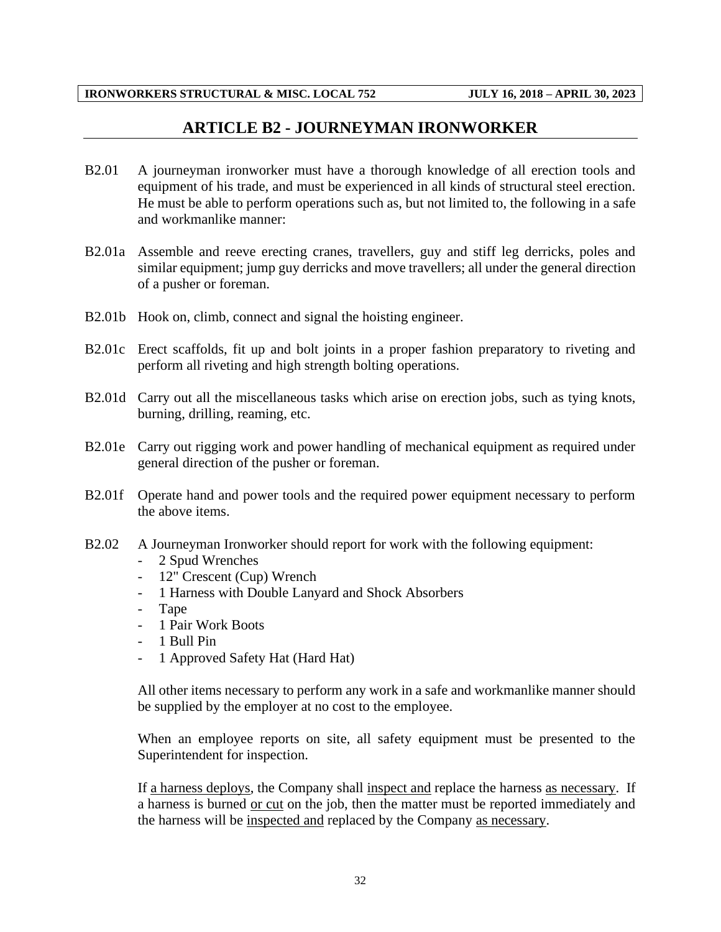## **ARTICLE B2 - JOURNEYMAN IRONWORKER**

- <span id="page-34-0"></span>B2.01 A journeyman ironworker must have a thorough knowledge of all erection tools and equipment of his trade, and must be experienced in all kinds of structural steel erection. He must be able to perform operations such as, but not limited to, the following in a safe and workmanlike manner:
- B2.01a Assemble and reeve erecting cranes, travellers, guy and stiff leg derricks, poles and similar equipment; jump guy derricks and move travellers; all under the general direction of a pusher or foreman.
- B2.01b Hook on, climb, connect and signal the hoisting engineer.
- B2.01c Erect scaffolds, fit up and bolt joints in a proper fashion preparatory to riveting and perform all riveting and high strength bolting operations.
- B2.01d Carry out all the miscellaneous tasks which arise on erection jobs, such as tying knots, burning, drilling, reaming, etc.
- B2.01e Carry out rigging work and power handling of mechanical equipment as required under general direction of the pusher or foreman.
- B2.01f Operate hand and power tools and the required power equipment necessary to perform the above items.
- B2.02 A Journeyman Ironworker should report for work with the following equipment: - 2 Spud Wrenches
	- 12" Crescent (Cup) Wrench
	- 1 Harness with Double Lanyard and Shock Absorbers
	- Tape
	- 1 Pair Work Boots
	- 1 Bull Pin
	- 1 Approved Safety Hat (Hard Hat)

All other items necessary to perform any work in a safe and workmanlike manner should be supplied by the employer at no cost to the employee.

When an employee reports on site, all safety equipment must be presented to the Superintendent for inspection.

If a harness deploys, the Company shall inspect and replace the harness as necessary. If a harness is burned or cut on the job, then the matter must be reported immediately and the harness will be inspected and replaced by the Company as necessary.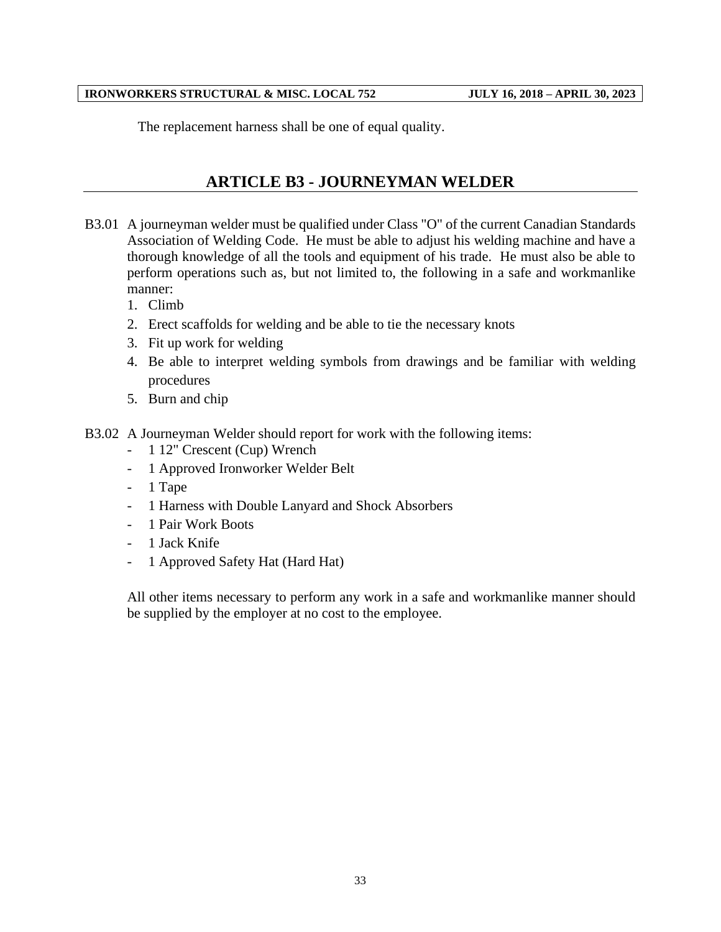<span id="page-35-0"></span>The replacement harness shall be one of equal quality.

## **ARTICLE B3 - JOURNEYMAN WELDER**

- B3.01 A journeyman welder must be qualified under Class "O" of the current Canadian Standards Association of Welding Code. He must be able to adjust his welding machine and have a thorough knowledge of all the tools and equipment of his trade. He must also be able to perform operations such as, but not limited to, the following in a safe and workmanlike manner:
	- 1. Climb
	- 2. Erect scaffolds for welding and be able to tie the necessary knots
	- 3. Fit up work for welding
	- 4. Be able to interpret welding symbols from drawings and be familiar with welding procedures
	- 5. Burn and chip
- B3.02 A Journeyman Welder should report for work with the following items:
	- 1 12" Crescent (Cup) Wrench
	- 1 Approved Ironworker Welder Belt
	- 1 Tape
	- 1 Harness with Double Lanyard and Shock Absorbers
	- 1 Pair Work Boots
	- 1 Jack Knife
	- 1 Approved Safety Hat (Hard Hat)

All other items necessary to perform any work in a safe and workmanlike manner should be supplied by the employer at no cost to the employee.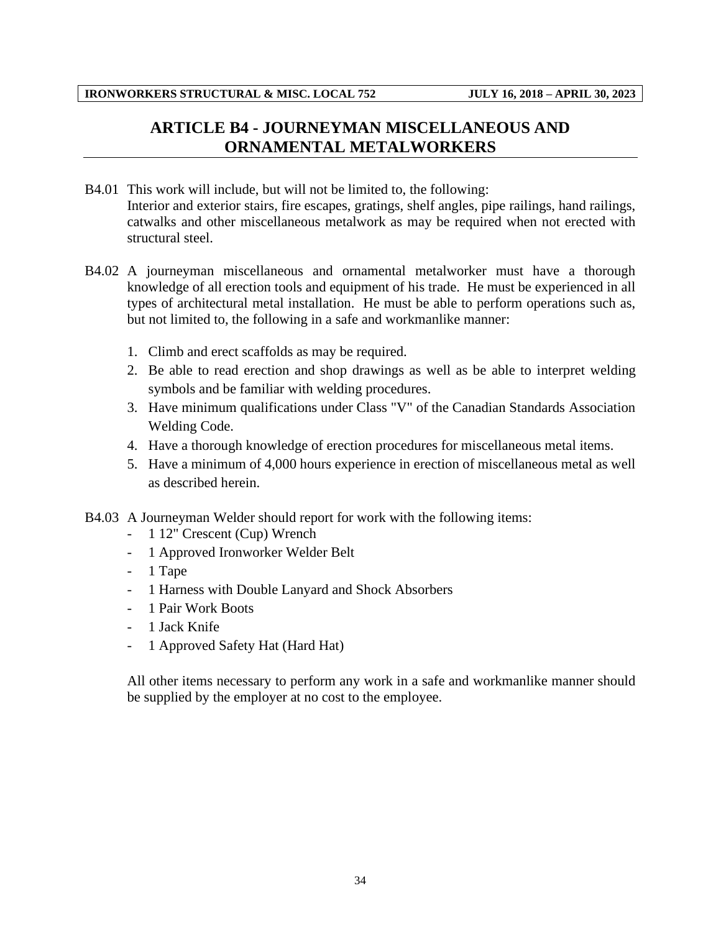# **ARTICLE B4 - JOURNEYMAN MISCELLANEOUS AND ORNAMENTAL METALWORKERS**

- <span id="page-36-0"></span>B4.01 This work will include, but will not be limited to, the following: Interior and exterior stairs, fire escapes, gratings, shelf angles, pipe railings, hand railings, catwalks and other miscellaneous metalwork as may be required when not erected with structural steel.
- B4.02 A journeyman miscellaneous and ornamental metalworker must have a thorough knowledge of all erection tools and equipment of his trade. He must be experienced in all types of architectural metal installation. He must be able to perform operations such as, but not limited to, the following in a safe and workmanlike manner:
	- 1. Climb and erect scaffolds as may be required.
	- 2. Be able to read erection and shop drawings as well as be able to interpret welding symbols and be familiar with welding procedures.
	- 3. Have minimum qualifications under Class "V" of the Canadian Standards Association Welding Code.
	- 4. Have a thorough knowledge of erection procedures for miscellaneous metal items.
	- 5. Have a minimum of 4,000 hours experience in erection of miscellaneous metal as well as described herein.

B4.03 A Journeyman Welder should report for work with the following items:

- 1 12" Crescent (Cup) Wrench
- 1 Approved Ironworker Welder Belt
- 1 Tape
- 1 Harness with Double Lanyard and Shock Absorbers
- 1 Pair Work Boots
- 1 Jack Knife
- 1 Approved Safety Hat (Hard Hat)

All other items necessary to perform any work in a safe and workmanlike manner should be supplied by the employer at no cost to the employee.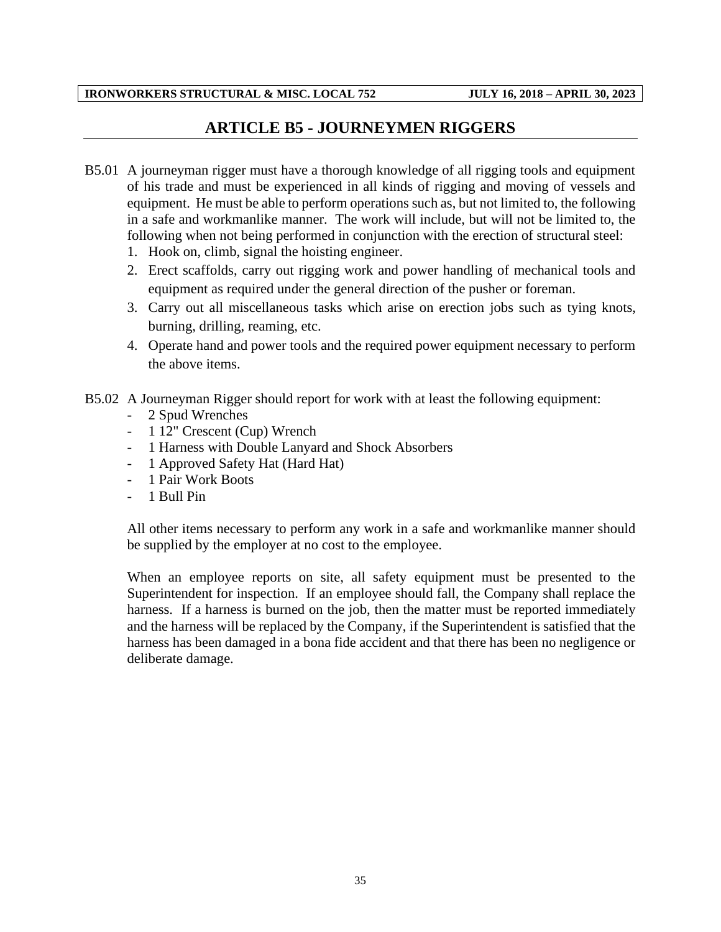# **ARTICLE B5 - JOURNEYMEN RIGGERS**

- <span id="page-37-0"></span>B5.01 A journeyman rigger must have a thorough knowledge of all rigging tools and equipment of his trade and must be experienced in all kinds of rigging and moving of vessels and equipment. He must be able to perform operations such as, but not limited to, the following in a safe and workmanlike manner. The work will include, but will not be limited to, the following when not being performed in conjunction with the erection of structural steel:
	- 1. Hook on, climb, signal the hoisting engineer.
	- 2. Erect scaffolds, carry out rigging work and power handling of mechanical tools and equipment as required under the general direction of the pusher or foreman.
	- 3. Carry out all miscellaneous tasks which arise on erection jobs such as tying knots, burning, drilling, reaming, etc.
	- 4. Operate hand and power tools and the required power equipment necessary to perform the above items.
- B5.02 A Journeyman Rigger should report for work with at least the following equipment:
	- 2 Spud Wrenches
	- 1 12" Crescent (Cup) Wrench
	- 1 Harness with Double Lanyard and Shock Absorbers
	- 1 Approved Safety Hat (Hard Hat)
	- 1 Pair Work Boots
	- 1 Bull Pin

All other items necessary to perform any work in a safe and workmanlike manner should be supplied by the employer at no cost to the employee.

When an employee reports on site, all safety equipment must be presented to the Superintendent for inspection. If an employee should fall, the Company shall replace the harness. If a harness is burned on the job, then the matter must be reported immediately and the harness will be replaced by the Company, if the Superintendent is satisfied that the harness has been damaged in a bona fide accident and that there has been no negligence or deliberate damage.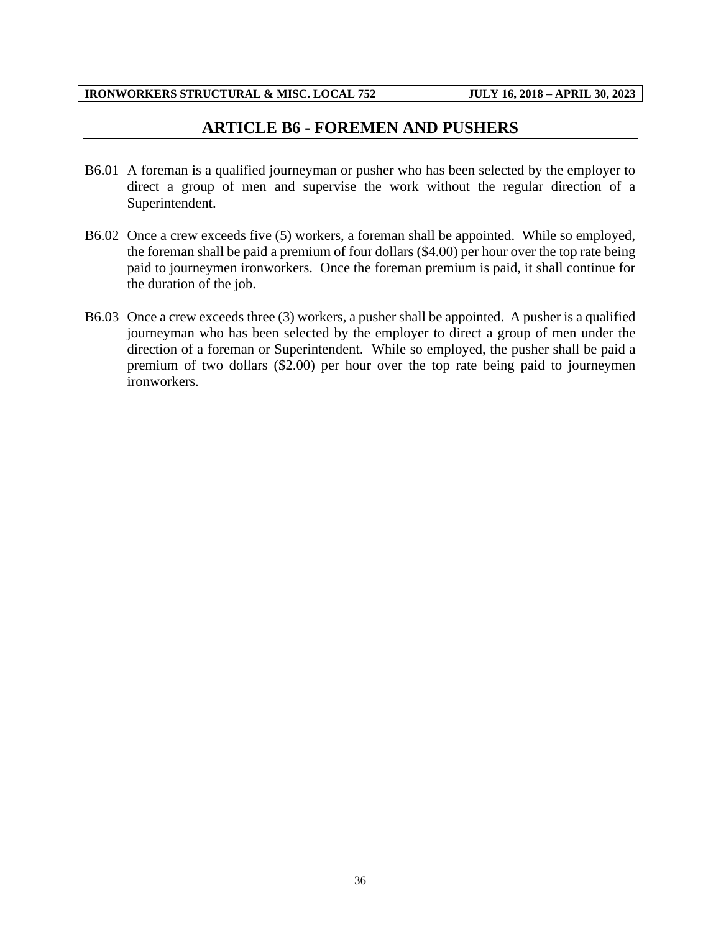## **ARTICLE B6 - FOREMEN AND PUSHERS**

- <span id="page-38-0"></span>B6.01 A foreman is a qualified journeyman or pusher who has been selected by the employer to direct a group of men and supervise the work without the regular direction of a Superintendent.
- B6.02 Once a crew exceeds five (5) workers, a foreman shall be appointed. While so employed, the foreman shall be paid a premium of <u>four dollars (\$4.00)</u> per hour over the top rate being paid to journeymen ironworkers. Once the foreman premium is paid, it shall continue for the duration of the job.
- B6.03 Once a crew exceeds three (3) workers, a pusher shall be appointed. A pusher is a qualified journeyman who has been selected by the employer to direct a group of men under the direction of a foreman or Superintendent. While so employed, the pusher shall be paid a premium of two dollars (\$2.00) per hour over the top rate being paid to journeymen ironworkers.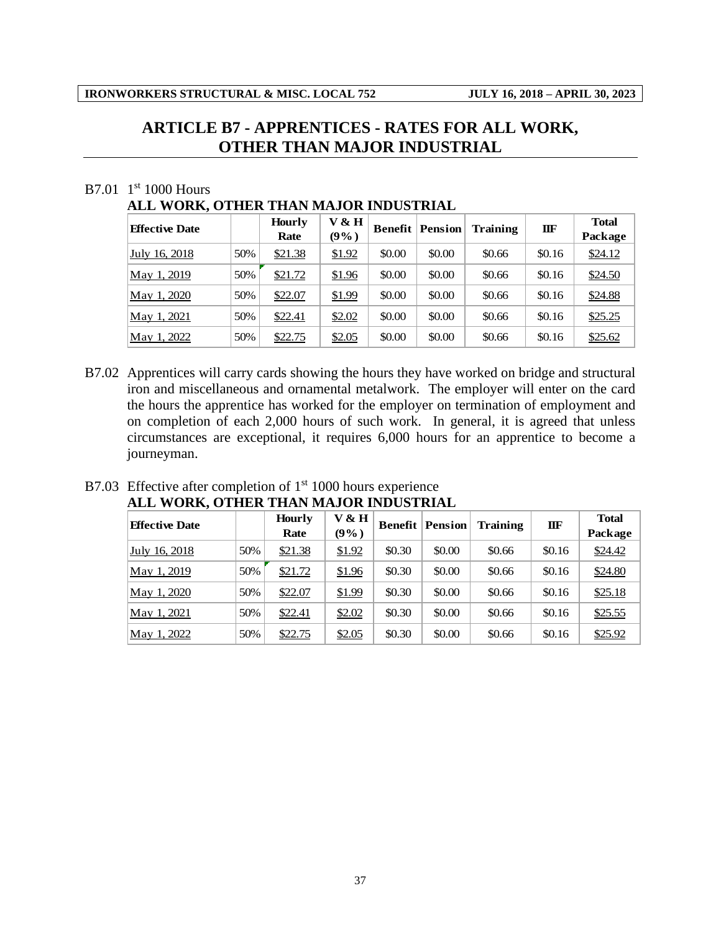# <span id="page-39-0"></span>**ARTICLE B7 - APPRENTICES - RATES FOR ALL WORK, OTHER THAN MAJOR INDUSTRIAL**

#### B7.01 1<sup>st</sup> 1000 Hours

| $1st 1000$ Hours                      |     |               |        |                |                |                 |            |              |
|---------------------------------------|-----|---------------|--------|----------------|----------------|-----------------|------------|--------------|
| ALL WORK, OTHER THAN MAJOR INDUSTRIAL |     |               |        |                |                |                 |            |              |
| <b>Effective Date</b>                 |     | <b>Hourly</b> | V & H  | <b>Benefit</b> | <b>Pension</b> | <b>Training</b> | <b>IIF</b> | <b>Total</b> |
|                                       |     | (9%)<br>Rate  |        | Package        |                |                 |            |              |
| July 16, 2018                         | 50% | \$21.38       | \$1.92 | \$0.00         | \$0.00         | \$0.66          | \$0.16     | \$24.12      |
| May 1, 2019                           | 50% | \$21.72       | \$1.96 | \$0.00         | \$0.00         | \$0.66          | \$0.16     | \$24.50      |
| May 1, 2020                           | 50% | \$22.07       | \$1.99 | \$0.00         | \$0.00         | \$0.66          | \$0.16     | \$24.88      |
| May 1, 2021                           | 50% | \$22.41       | \$2.02 | \$0.00         | \$0.00         | \$0.66          | \$0.16     | \$25.25      |
| May 1, 2022                           | 50% | \$22.75       | \$2.05 | \$0.00         | \$0.00         | \$0.66          | \$0.16     | \$25.62      |

# **ALL WORK, OTHER THAN MAJOR INDUSTRIAL**

B7.02 Apprentices will carry cards showing the hours they have worked on bridge and structural iron and miscellaneous and ornamental metalwork. The employer will enter on the card the hours the apprentice has worked for the employer on termination of employment and on completion of each 2,000 hours of such work. In general, it is agreed that unless circumstances are exceptional, it requires 6,000 hours for an apprentice to become a journeyman.

#### B7.03 Effective after completion of  $1<sup>st</sup> 1000$  hours experience **ALL WORK, OTHER THAN MAJOR INDUSTRIAL**

|                                       | Effective after completion of $1st 1000$ hours experience |                       |                  |        |                        |                 |        |                         |  |  |
|---------------------------------------|-----------------------------------------------------------|-----------------------|------------------|--------|------------------------|-----------------|--------|-------------------------|--|--|
| ALL WORK, OTHER THAN MAJOR INDUSTRIAL |                                                           |                       |                  |        |                        |                 |        |                         |  |  |
| <b>Effective Date</b>                 |                                                           | <b>Hourly</b><br>Rate | V & H<br>$(9\%)$ |        | <b>Benefit Pension</b> | <b>Training</b> | IIF    | <b>Total</b><br>Package |  |  |
| July 16, 2018                         | 50%                                                       | \$21.38               | \$1.92           | \$0.30 | \$0.00                 | \$0.66          | \$0.16 | \$24.42                 |  |  |
| May 1, 2019                           | 50%                                                       | \$21.72               | \$1.96           | \$0.30 | \$0.00                 | \$0.66          | \$0.16 | \$24.80                 |  |  |
| May 1, 2020                           | 50%                                                       | \$22.07               | \$1.99           | \$0.30 | \$0.00                 | \$0.66          | \$0.16 | \$25.18                 |  |  |
| May 1, 2021                           | 50%                                                       | \$22.41               | \$2.02           | \$0.30 | \$0.00                 | \$0.66          | \$0.16 | \$25.55                 |  |  |
| May 1, 2022                           | 50%                                                       | \$22.75               | \$2.05           | \$0.30 | \$0.00                 | \$0.66          | \$0.16 | \$25.92                 |  |  |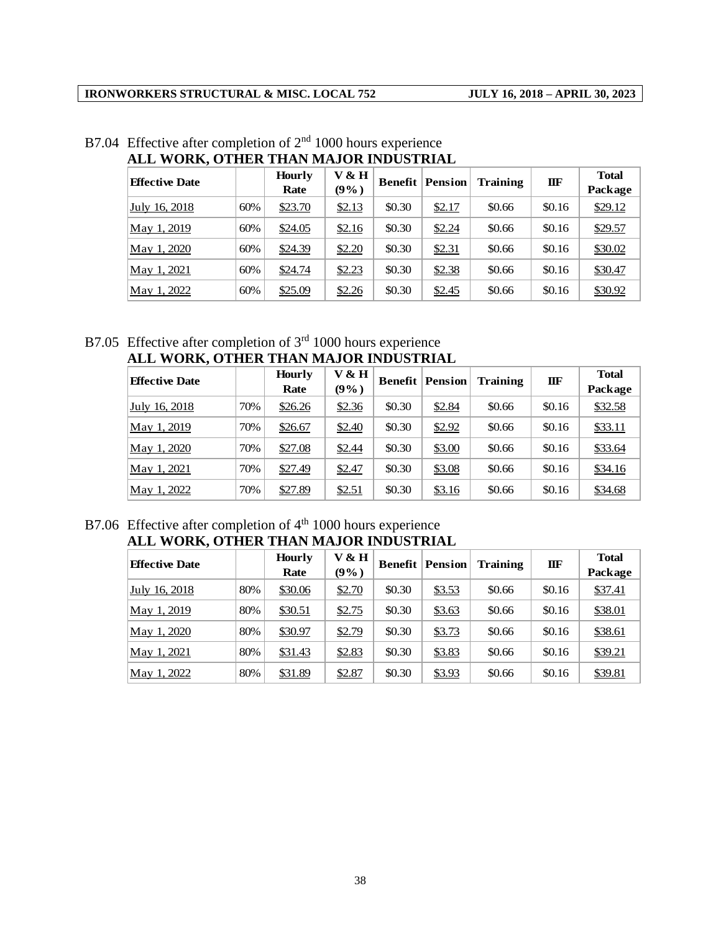| Effective after completion of $2nd$ 1000 hours experience |     |                       |                  |        |                        |                 |        |                         |  |  |
|-----------------------------------------------------------|-----|-----------------------|------------------|--------|------------------------|-----------------|--------|-------------------------|--|--|
| ALL WORK, OTHER THAN MAJOR INDUSTRIAL                     |     |                       |                  |        |                        |                 |        |                         |  |  |
| <b>Effective Date</b>                                     |     | <b>Hourly</b><br>Rate | V & H<br>$(9\%)$ |        | <b>Benefit Pension</b> | <b>Training</b> | IIF    | <b>Total</b><br>Package |  |  |
| July 16, 2018                                             | 60% | \$23.70               | \$2.13           | \$0.30 | \$2.17                 | \$0.66          | \$0.16 | \$29.12                 |  |  |
| May 1, 2019                                               | 60% | \$24.05               | \$2.16           | \$0.30 | \$2.24                 | \$0.66          | \$0.16 | \$29.57                 |  |  |
| May 1, 2020                                               | 60% | \$24.39               | \$2.20           | \$0.30 | \$2.31                 | \$0.66          | \$0.16 | \$30.02                 |  |  |
| May 1, 2021                                               | 60% | \$24.74               | \$2.23           | \$0.30 | \$2.38                 | \$0.66          | \$0.16 | \$30.47                 |  |  |
| May 1, 2022                                               | 60% | \$25.09               | \$2.26           | \$0.30 | \$2.45                 | \$0.66          | \$0.16 | \$30.92                 |  |  |

#### B7.04 Effective after completion of 2<sup>nd</sup> 1000 hours experience **ALL WORK, OTHER THAN MAJOR INDUSTRIAL**

#### B7.05 Effective after completion of 3<sup>rd</sup> 1000 hours experience **ALL WORK, OTHER THAN MAJOR INDUSTRIAL**

| Effective after completion of $3rd 1000$ hours experience |     |                       |                  |        |                        |                 |        |                         |  |  |  |
|-----------------------------------------------------------|-----|-----------------------|------------------|--------|------------------------|-----------------|--------|-------------------------|--|--|--|
| ALL WORK, OTHER THAN MAJOR INDUSTRIAL                     |     |                       |                  |        |                        |                 |        |                         |  |  |  |
| <b>Effective Date</b>                                     |     | <b>Hourly</b><br>Rate | V & H<br>$(9\%)$ |        | <b>Benefit Pension</b> | <b>Training</b> | IIF    | <b>Total</b><br>Package |  |  |  |
| July 16, 2018                                             | 70% | \$26.26               | \$2.36           | \$0.30 | \$2.84                 | \$0.66          | \$0.16 | \$32.58                 |  |  |  |
| May 1, 2019                                               | 70% | \$26.67               | \$2.40           | \$0.30 | \$2.92                 | \$0.66          | \$0.16 | \$33.11                 |  |  |  |
| May 1, 2020                                               | 70% | \$27.08               | \$2.44           | \$0.30 | \$3.00                 | \$0.66          | \$0.16 | \$33.64                 |  |  |  |
| May 1, 2021                                               | 70% | \$27.49               | \$2.47           | \$0.30 | \$3.08                 | \$0.66          | \$0.16 | \$34.16                 |  |  |  |
| May 1, 2022                                               | 70% | \$27.89               | \$2.51           | \$0.30 | \$3.16                 | \$0.66          | \$0.16 | \$34.68                 |  |  |  |

# B7.06 Effective after completion of  $4<sup>th</sup> 1000$  hours experience

**ALL WORK, OTHER THAN MAJOR INDUSTRIAL Effective Date Hourly Rate V & H**  (a) hours experience<br> **(9%)**<br> **Benefit Pension Training IIF Packag**<br> **Packag**<br> **Packag**<br> **Packag**<br> **Packag**<br> **Packag**<br> **Packag**<br> **Packag**<br> **Packag**<br> **Packag Package** July 16, 2018  $|80\%|$  \$30.06  $|$  \$2.70  $|$  \$0.30  $|$  \$3.53  $|$  \$0.66  $|$  \$0.16  $|$  \$37.41 <u>May 1, 2019</u>  $|80\%|$   $\frac{$30.51}{1}$   $|82.75|$   $|80.30$   $|83.63|$   $|80.66$   $|80.16$   $|838.01|$ <u>May 1, 2020</u>  $|80\%|$   $\frac{$30.97}{1}$   $\frac{$2.79}{1}$  \$0.30  $|33.73|$  \$0.66  $|50.16$   $\frac{$38.61}{1}$ May 1, 2021  $|80\%|$  \$31.43  $|$  \$2.83  $|$  \$0.30  $|$  \$3.83  $|$  \$0.66  $|$  \$0.16  $|$  \$39.21 May 1, 2022  $|80\%|$  \$31.89  $|$  \$2.87  $|$  \$0.30  $|$  \$3.93  $|$  \$0.66  $|$  \$0.16  $|$  \$39.81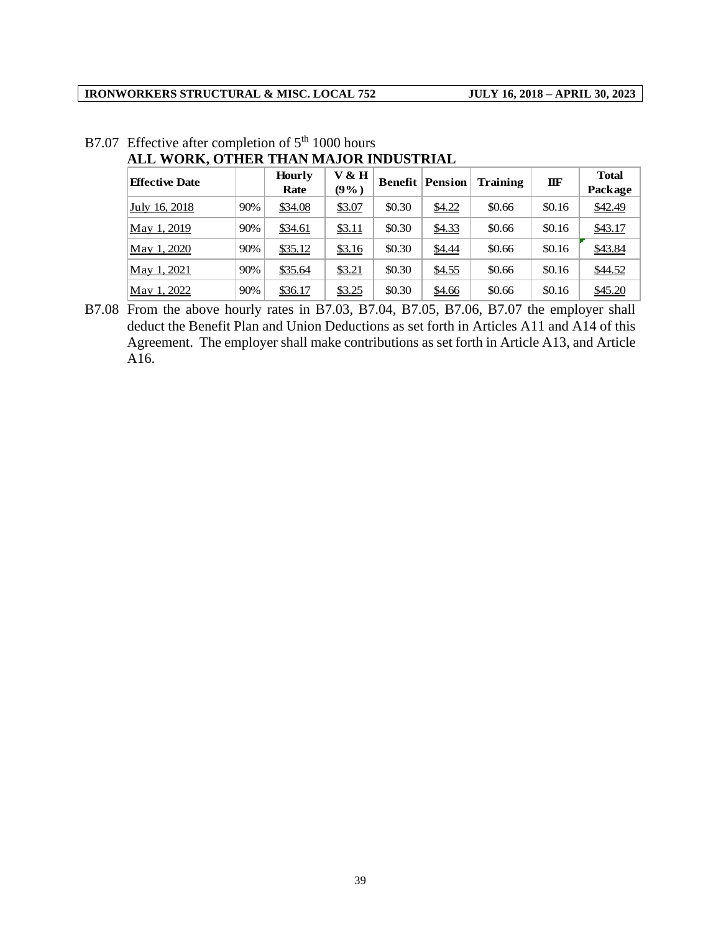|                                       | Effective after completion of $5th 1000$ hours |                       |                  |        |                        |                 |        |                         |  |  |  |  |
|---------------------------------------|------------------------------------------------|-----------------------|------------------|--------|------------------------|-----------------|--------|-------------------------|--|--|--|--|
| ALL WORK, OTHER THAN MAJOR INDUSTRIAL |                                                |                       |                  |        |                        |                 |        |                         |  |  |  |  |
| <b>Effective Date</b>                 |                                                | <b>Hourly</b><br>Rate | V & H<br>$(9\%)$ |        | <b>Benefit Pension</b> | <b>Training</b> | IIF    | <b>Total</b><br>Package |  |  |  |  |
| July 16, 2018                         | 90%                                            | \$34.08               | \$3.07           | \$0.30 | \$4.22                 | \$0.66          | \$0.16 | \$42.49                 |  |  |  |  |
| May 1, 2019                           | 90%                                            | \$34.61               | \$3.11           | \$0.30 | \$4.33                 | \$0.66          | \$0.16 | \$43.17                 |  |  |  |  |
| May 1, 2020                           | 90%                                            | \$35.12               | \$3.16           | \$0.30 | \$4.44                 | \$0.66          | \$0.16 | \$43.84                 |  |  |  |  |
| May 1, 2021                           | 90%                                            | \$35.64               | \$3.21           | \$0.30 | \$4.55                 | \$0.66          | \$0.16 | \$44.52                 |  |  |  |  |
| May 1, 2022                           | 90%                                            | \$36.17               | \$3.25           | \$0.30 | \$4.66                 | \$0.66          | \$0.16 | \$45.20                 |  |  |  |  |

## B7.07 Effective after completion of  $5<sup>th</sup> 1000$  hours **ALL WORK, OTHER THAN MAJOR INDUSTRIAL**

B7.08 From the above hourly rates in B7.03, B7.04, B7.05, B7.06, B7.07 the employer shall deduct the Benefit Plan and Union Deductions as set forth in Articles A11 and A14 of this Agreement. The employer shall make contributions as set forth in Article A13, and Article A16.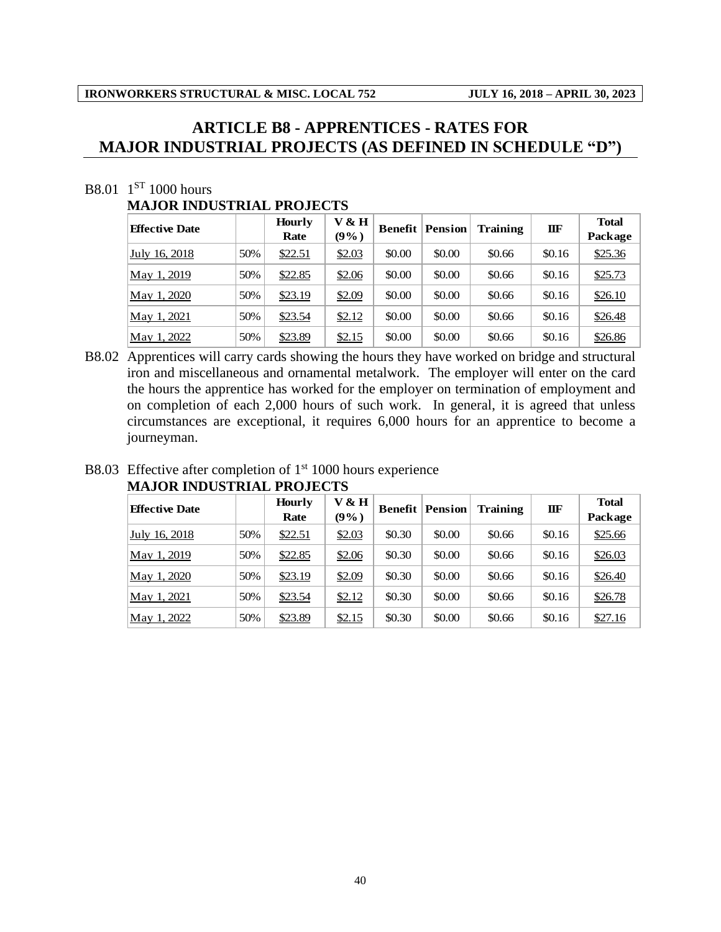# <span id="page-42-0"></span>**ARTICLE B8 - APPRENTICES - RATES FOR MAJOR INDUSTRIAL PROJECTS (AS DEFINED IN SCHEDULE "D")**

#### B8.01 1<sup>ST</sup> 1000 hours

#### **MAJOR INDUSTRIAL PROJECTS**

| $1^{51}$<br>1000 hours           |     |                       |               |                |                |                 |        |                         |  |  |
|----------------------------------|-----|-----------------------|---------------|----------------|----------------|-----------------|--------|-------------------------|--|--|
| <b>MAJOR INDUSTRIAL PROJECTS</b> |     |                       |               |                |                |                 |        |                         |  |  |
| <b>Effective Date</b>            |     | <b>Hourly</b><br>Rate | V & H<br>(9%) | <b>Benefit</b> | <b>Pension</b> | <b>Training</b> | IIF    | <b>Total</b><br>Package |  |  |
| July 16, 2018                    | 50% | \$22.51               | \$2.03        | \$0.00         | \$0.00         | \$0.66          | \$0.16 | \$25.36                 |  |  |
| May 1, 2019                      | 50% | \$22.85               | \$2.06        | \$0.00         | \$0.00         | \$0.66          | \$0.16 | \$25.73                 |  |  |
| May 1, 2020                      | 50% | \$23.19               | \$2.09        | \$0.00         | \$0.00         | \$0.66          | \$0.16 | \$26.10                 |  |  |
| May 1, 2021                      | 50% | \$23.54               | \$2.12        | \$0.00         | \$0.00         | \$0.66          | \$0.16 | \$26.48                 |  |  |
| May 1, 2022                      | 50% | \$23.89               | \$2.15        | \$0.00         | \$0.00         | \$0.66          | \$0.16 | \$26.86                 |  |  |

B8.02 Apprentices will carry cards showing the hours they have worked on bridge and structural iron and miscellaneous and ornamental metalwork. The employer will enter on the card the hours the apprentice has worked for the employer on termination of employment and on completion of each 2,000 hours of such work. In general, it is agreed that unless circumstances are exceptional, it requires 6,000 hours for an apprentice to become a journeyman.

#### B8.03 Effective after completion of  $1<sup>st</sup> 1000$  hours experience **MAJOR INDUSTRIAL PROJECTS**

| <b>Effective Date</b> |     | <b>Hourly</b><br>Rate | V & H<br>$(9\%)$ |        | <b>Benefit   Pension  </b> | <b>Training</b> | IIF    | <b>Total</b><br>Package |
|-----------------------|-----|-----------------------|------------------|--------|----------------------------|-----------------|--------|-------------------------|
| $July$ 16, 2018       | 50% | \$22.51               | \$2.03           | \$0.30 | \$0.00                     | \$0.66          | \$0.16 | \$25.66                 |
| May 1, 2019           | 50% | \$22.85               | \$2.06           | \$0.30 | \$0.00                     | \$0.66          | \$0.16 | \$26.03                 |
| May 1, 2020           | 50% | \$23.19               | \$2.09           | \$0.30 | \$0.00                     | \$0.66          | \$0.16 | \$26.40                 |
| May 1, 2021           | 50% | \$23.54               | \$2.12           | \$0.30 | \$0.00                     | \$0.66          | \$0.16 | \$26.78                 |
| May 1, 2022           | 50% | \$23.89               | \$2.15           | \$0.30 | \$0.00                     | \$0.66          | \$0.16 | \$27.16                 |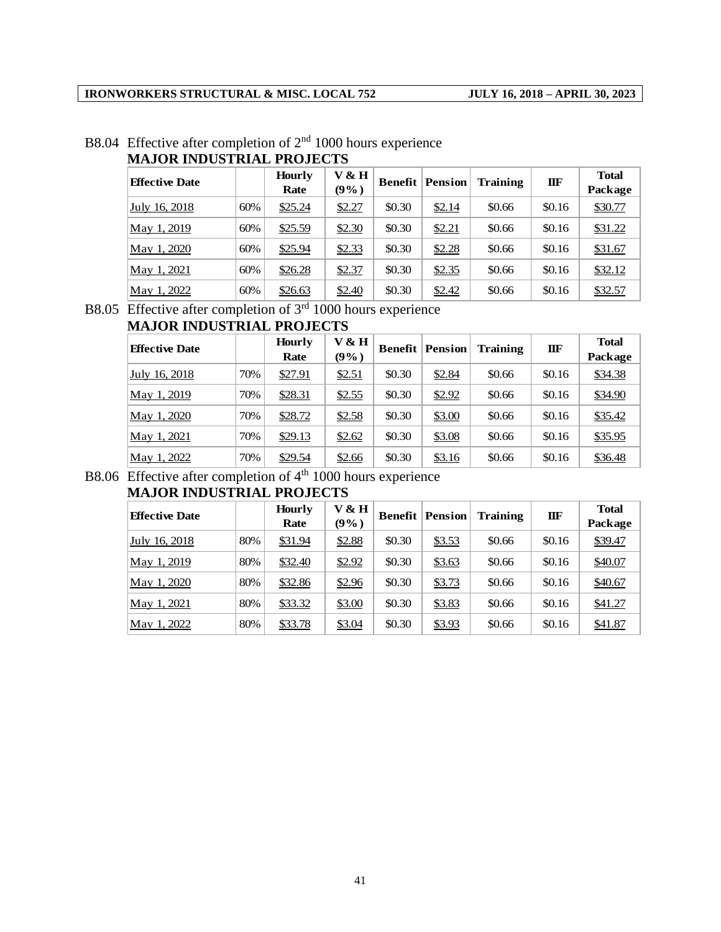#### B8.04 Effective after completion of  $2<sup>nd</sup>$  1000 hours experience **MAJOR INDUSTRIAL PROJECTS**

| Effective after completion of $2nd 1000$ hours experience |     |                       |               |        |                        |                 |        |                         |  |  |
|-----------------------------------------------------------|-----|-----------------------|---------------|--------|------------------------|-----------------|--------|-------------------------|--|--|
| <b>MAJOR INDUSTRIAL PROJECTS</b>                          |     |                       |               |        |                        |                 |        |                         |  |  |
| <b>Effective Date</b>                                     |     | <b>Hourly</b><br>Rate | V & H<br>(9%) |        | <b>Benefit Pension</b> | <b>Training</b> | IIF    | <b>Total</b><br>Package |  |  |
| July 16, 2018                                             | 60% | \$25.24               | \$2.27        | \$0.30 | \$2.14                 | \$0.66          | \$0.16 | \$30.77                 |  |  |
| May 1, 2019                                               | 60% | \$25.59               | \$2.30        | \$0.30 | \$2.21                 | \$0.66          | \$0.16 | \$31.22                 |  |  |
| May 1, 2020                                               | 60% | \$25.94               | \$2.33        | \$0.30 | \$2.28                 | \$0.66          | \$0.16 | \$31.67                 |  |  |
| May 1, 2021                                               | 60% | \$26.28               | \$2.37        | \$0.30 | \$2.35                 | \$0.66          | \$0.16 | \$32.12                 |  |  |
| May 1, 2022                                               | 60% | \$26.63               | \$2.40        | \$0.30 | \$2.42                 | \$0.66          | \$0.16 | \$32.57                 |  |  |

# B8.05 Effective after completion of 3<sup>rd</sup> 1000 hours experience

## **MAJOR INDUSTRIAL PROJECTS**

| Effective after completion of $3rd 1000$ hours experience<br><b>MAJOR INDUSTRIAL PROJECTS</b> |     |                       |                  |        |                        |                 |        |                         |  |  |
|-----------------------------------------------------------------------------------------------|-----|-----------------------|------------------|--------|------------------------|-----------------|--------|-------------------------|--|--|
| <b>Effective Date</b>                                                                         |     | <b>Hourly</b><br>Rate | V & H<br>$(9\%)$ |        | <b>Benefit Pension</b> | <b>Training</b> | IIF    | <b>Total</b><br>Package |  |  |
| July 16, 2018                                                                                 | 70% | \$27.91               | \$2.51           | \$0.30 | \$2.84                 | \$0.66          | \$0.16 | \$34.38                 |  |  |
| May 1, 2019                                                                                   | 70% | \$28.31               | \$2.55           | \$0.30 | \$2.92                 | \$0.66          | \$0.16 | \$34.90                 |  |  |
| May 1, 2020                                                                                   | 70% | \$28.72               | \$2.58           | \$0.30 | \$3.00                 | \$0.66          | \$0.16 | \$35.42                 |  |  |
| May 1, 2021                                                                                   | 70% | \$29.13               | \$2.62           | \$0.30 | \$3.08                 | \$0.66          | \$0.16 | \$35.95                 |  |  |
| May 1, 2022                                                                                   | 70% | \$29.54               | \$2.66           | \$0.30 | \$3.16                 | \$0.66          | \$0.16 | \$36.48                 |  |  |

B8.06 Effective after completion of  $4<sup>th</sup>$  1000 hours experience

# **MAJOR INDUSTRIAL PROJECTS**

| Effective after completion of $4th 1000$ hours experience<br><b>MAJOR INDUSTRIAL PROJECTS</b> |     |                       |                  |        |                        |                 |        |                         |  |  |
|-----------------------------------------------------------------------------------------------|-----|-----------------------|------------------|--------|------------------------|-----------------|--------|-------------------------|--|--|
| <b>Effective Date</b>                                                                         |     | <b>Hourly</b><br>Rate | V & H<br>$(9\%)$ |        | <b>Benefit Pension</b> | <b>Training</b> | IIF    | <b>Total</b><br>Package |  |  |
| July 16, 2018                                                                                 | 80% | \$31.94               | \$2.88           | \$0.30 | \$3.53                 | \$0.66          | \$0.16 | \$39.47                 |  |  |
| May 1, 2019                                                                                   | 80% | \$32.40               | \$2.92           | \$0.30 | \$3.63                 | \$0.66          | \$0.16 | \$40.07                 |  |  |
| May 1, 2020                                                                                   | 80% | \$32.86               | \$2.96           | \$0.30 | \$3.73                 | \$0.66          | \$0.16 | \$40.67                 |  |  |
| May 1, 2021                                                                                   | 80% | \$33.32               | \$3.00           | \$0.30 | \$3.83                 | \$0.66          | \$0.16 | \$41.27                 |  |  |
| May 1, 2022                                                                                   | 80% | \$33.78               | \$3.04           | \$0.30 | \$3.93                 | \$0.66          | \$0.16 | \$41.87                 |  |  |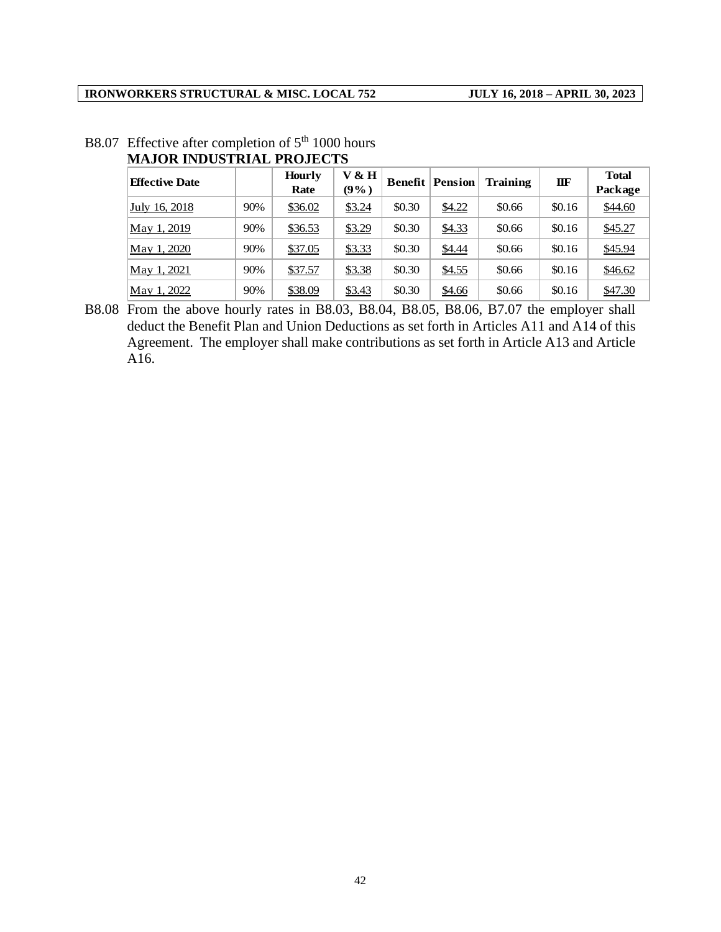| Effective after completion of $5th 1000$ hours |                                  |                       |                  |                |                |                 |        |                         |  |  |  |
|------------------------------------------------|----------------------------------|-----------------------|------------------|----------------|----------------|-----------------|--------|-------------------------|--|--|--|
|                                                | <b>MAJOR INDUSTRIAL PROJECTS</b> |                       |                  |                |                |                 |        |                         |  |  |  |
| <b>Effective Date</b>                          |                                  | <b>Hourly</b><br>Rate | V & H<br>$(9\%)$ | <b>Benefit</b> | <b>Pension</b> | <b>Training</b> | IIF    | <b>Total</b><br>Package |  |  |  |
| July 16, 2018                                  | 90%                              | \$36.02               | \$3.24           | \$0.30         | \$4.22         | \$0.66          | \$0.16 | \$44.60                 |  |  |  |
| May 1, 2019                                    | 90%                              | \$36.53               | \$3.29           | \$0.30         | \$4.33         | \$0.66          | \$0.16 | \$45.27                 |  |  |  |
| May 1, 2020                                    | 90%                              | \$37.05               | \$3.33           | \$0.30         | <u>\$4.44</u>  | \$0.66          | \$0.16 | \$45.94                 |  |  |  |
| May 1, 2021                                    | 90%                              | \$37.57               | \$3.38           | \$0.30         | \$4.55         | \$0.66          | \$0.16 | \$46.62                 |  |  |  |
| May 1, 2022                                    | 90%                              | \$38.09               | \$3.43           | \$0.30         | \$4.66         | \$0.66          | \$0.16 | \$47.30                 |  |  |  |

## B8.07 Effective after completion of  $5<sup>th</sup>$  1000 hours **MAJOR INDUSTRIAL PROJECTS**

B8.08 From the above hourly rates in B8.03, B8.04, B8.05, B8.06, B7.07 the employer shall deduct the Benefit Plan and Union Deductions as set forth in Articles A11 and A14 of this Agreement. The employer shall make contributions as set forth in Article A13 and Article A16.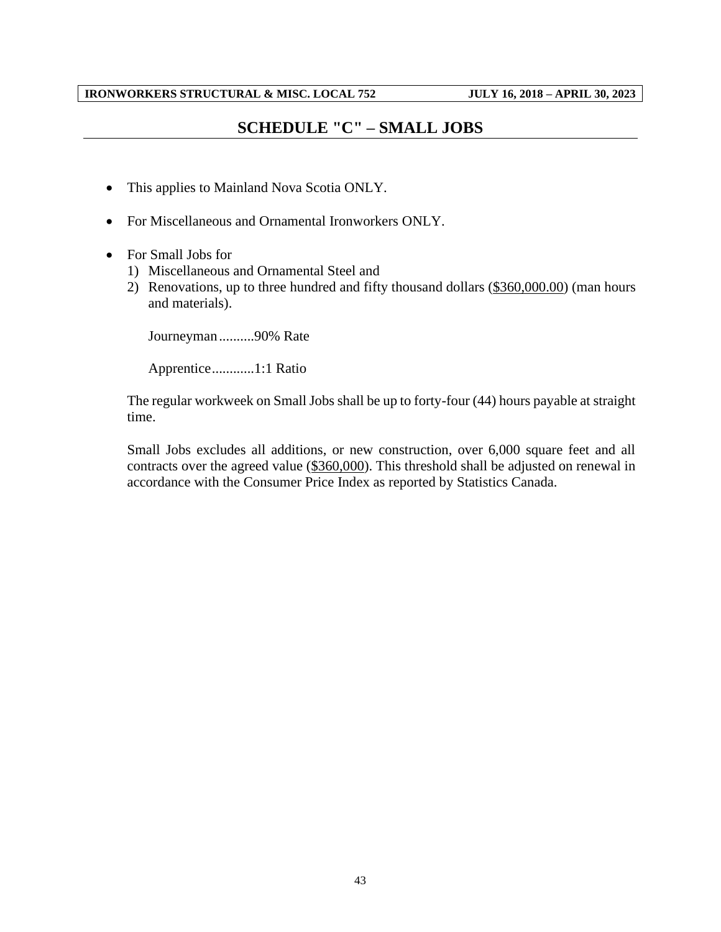# **SCHEDULE "C" – SMALL JOBS**

- <span id="page-45-0"></span>• This applies to Mainland Nova Scotia ONLY.
- For Miscellaneous and Ornamental Ironworkers ONLY.
- For Small Jobs for
	- 1) Miscellaneous and Ornamental Steel and
	- 2) Renovations, up to three hundred and fifty thousand dollars (\$360,000.00) (man hours and materials).

Journeyman..........90% Rate

Apprentice............1:1 Ratio

The regular workweek on Small Jobs shall be up to forty-four (44) hours payable at straight time.

Small Jobs excludes all additions, or new construction, over 6,000 square feet and all contracts over the agreed value (\$360,000). This threshold shall be adjusted on renewal in accordance with the Consumer Price Index as reported by Statistics Canada.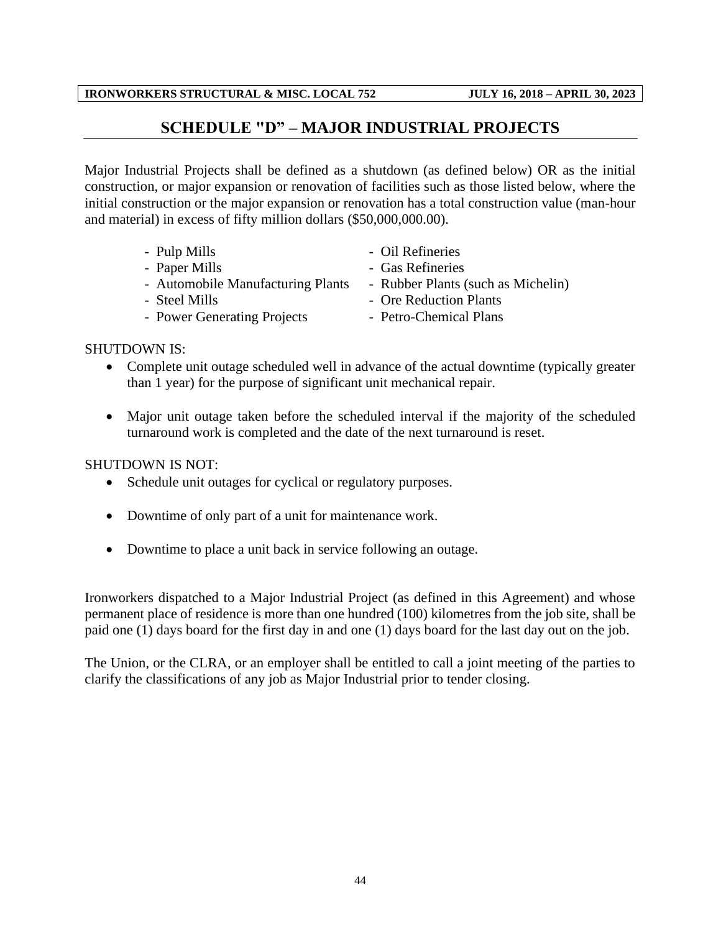# **SCHEDULE "D" – MAJOR INDUSTRIAL PROJECTS**

<span id="page-46-0"></span>Major Industrial Projects shall be defined as a shutdown (as defined below) OR as the initial construction, or major expansion or renovation of facilities such as those listed below, where the initial construction or the major expansion or renovation has a total construction value (man-hour and material) in excess of fifty million dollars (\$50,000,000.00).

- 
- 
- 
- 
- Power Generating Projects Petro-Chemical Plans
- Pulp Mills Oil Refineries
- Paper Mills Gas Refineries
- Automobile Manufacturing Plants Rubber Plants (such as Michelin)
- Steel Mills Ore Reduction Plants
	-

#### SHUTDOWN IS:

- Complete unit outage scheduled well in advance of the actual downtime (typically greater than 1 year) for the purpose of significant unit mechanical repair.
- Major unit outage taken before the scheduled interval if the majority of the scheduled turnaround work is completed and the date of the next turnaround is reset.

#### SHUTDOWN IS NOT:

- Schedule unit outages for cyclical or regulatory purposes.
- Downtime of only part of a unit for maintenance work.
- Downtime to place a unit back in service following an outage.

Ironworkers dispatched to a Major Industrial Project (as defined in this Agreement) and whose permanent place of residence is more than one hundred (100) kilometres from the job site, shall be paid one (1) days board for the first day in and one (1) days board for the last day out on the job.

The Union, or the CLRA, or an employer shall be entitled to call a joint meeting of the parties to clarify the classifications of any job as Major Industrial prior to tender closing.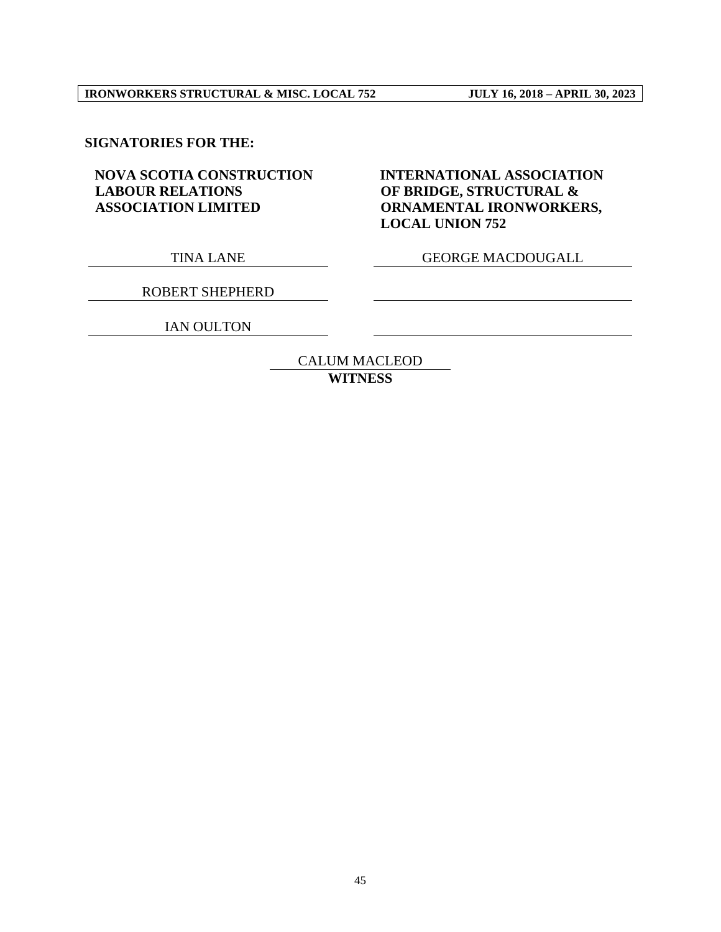#### **SIGNATORIES FOR THE:**

#### **NOVA SCOTIA CONSTRUCTION LABOUR RELATIONS ASSOCIATION LIMITED**

TINA LANE GEORGE MACDOUGALL

**INTERNATIONAL ASSOCIATION OF BRIDGE, STRUCTURAL & ORNAMENTAL IRONWORKERS,** 

**LOCAL UNION 752**

ROBERT SHEPHERD

IAN OULTON

CALUM MACLEOD **WITNESS**